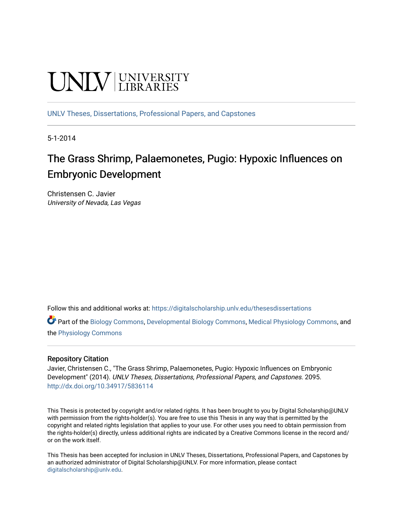# **UNIVERSITY**

[UNLV Theses, Dissertations, Professional Papers, and Capstones](https://digitalscholarship.unlv.edu/thesesdissertations)

5-1-2014

# The Grass Shrimp, Palaemonetes, Pugio: Hypoxic Influences on Embryonic Development

Christensen C. Javier University of Nevada, Las Vegas

Follow this and additional works at: [https://digitalscholarship.unlv.edu/thesesdissertations](https://digitalscholarship.unlv.edu/thesesdissertations?utm_source=digitalscholarship.unlv.edu%2Fthesesdissertations%2F2095&utm_medium=PDF&utm_campaign=PDFCoverPages)

Part of the [Biology Commons,](http://network.bepress.com/hgg/discipline/41?utm_source=digitalscholarship.unlv.edu%2Fthesesdissertations%2F2095&utm_medium=PDF&utm_campaign=PDFCoverPages) [Developmental Biology Commons](http://network.bepress.com/hgg/discipline/11?utm_source=digitalscholarship.unlv.edu%2Fthesesdissertations%2F2095&utm_medium=PDF&utm_campaign=PDFCoverPages), [Medical Physiology Commons](http://network.bepress.com/hgg/discipline/677?utm_source=digitalscholarship.unlv.edu%2Fthesesdissertations%2F2095&utm_medium=PDF&utm_campaign=PDFCoverPages), and the [Physiology Commons](http://network.bepress.com/hgg/discipline/69?utm_source=digitalscholarship.unlv.edu%2Fthesesdissertations%2F2095&utm_medium=PDF&utm_campaign=PDFCoverPages)

#### Repository Citation

Javier, Christensen C., "The Grass Shrimp, Palaemonetes, Pugio: Hypoxic Influences on Embryonic Development" (2014). UNLV Theses, Dissertations, Professional Papers, and Capstones. 2095. <http://dx.doi.org/10.34917/5836114>

This Thesis is protected by copyright and/or related rights. It has been brought to you by Digital Scholarship@UNLV with permission from the rights-holder(s). You are free to use this Thesis in any way that is permitted by the copyright and related rights legislation that applies to your use. For other uses you need to obtain permission from the rights-holder(s) directly, unless additional rights are indicated by a Creative Commons license in the record and/ or on the work itself.

This Thesis has been accepted for inclusion in UNLV Theses, Dissertations, Professional Papers, and Capstones by an authorized administrator of Digital Scholarship@UNLV. For more information, please contact [digitalscholarship@unlv.edu](mailto:digitalscholarship@unlv.edu).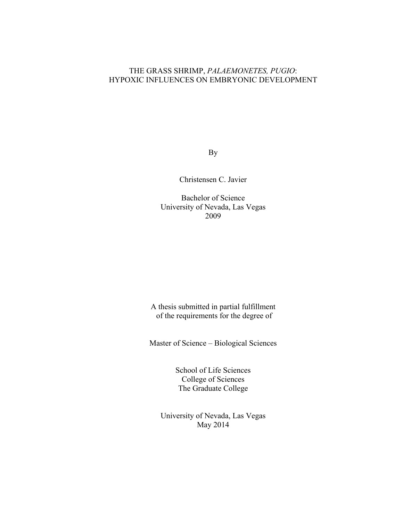## THE GRASS SHRIMP, *PALAEMONETES, PUGIO*: HYPOXIC INFLUENCES ON EMBRYONIC DEVELOPMENT

By

Christensen C. Javier

Bachelor of Science University of Nevada, Las Vegas 2009

A thesis submitted in partial fulfillment of the requirements for the degree of

Master of Science – Biological Sciences

School of Life Sciences College of Sciences The Graduate College

University of Nevada, Las Vegas May 2014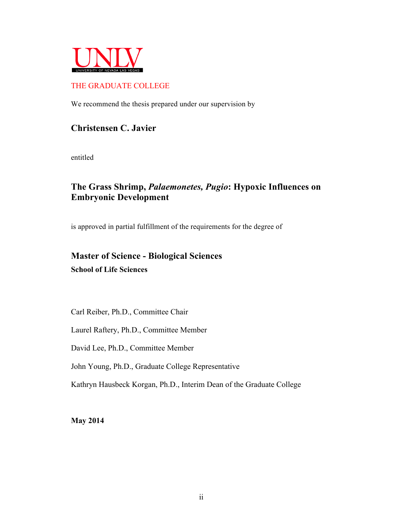

# THE GRADUATE COLLEGE

We recommend the thesis prepared under our supervision by

# **Christensen C. Javier**

entitled

# **The Grass Shrimp,** *Palaemonetes, Pugio***: Hypoxic Influences on Embryonic Development**

is approved in partial fulfillment of the requirements for the degree of

# **Master of Science - Biological Sciences School of Life Sciences**

Carl Reiber, Ph.D., Committee Chair

Laurel Raftery, Ph.D., Committee Member

David Lee, Ph.D., Committee Member

John Young, Ph.D., Graduate College Representative

Kathryn Hausbeck Korgan, Ph.D., Interim Dean of the Graduate College

**May 2014**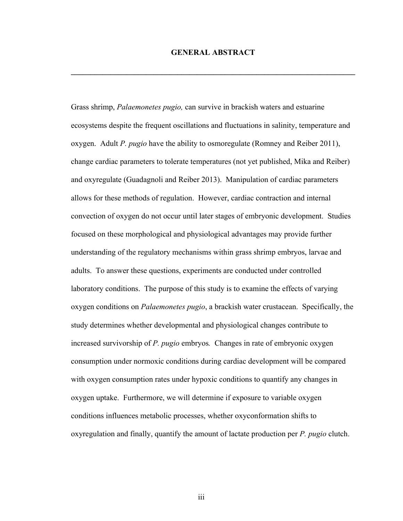**\_\_\_\_\_\_\_\_\_\_\_\_\_\_\_\_\_\_\_\_\_\_\_\_\_\_\_\_\_\_\_\_\_\_\_\_\_\_\_\_\_\_\_\_\_\_\_\_\_\_\_\_\_\_\_\_\_\_\_\_\_\_\_\_\_\_\_\_\_\_\_\_**

Grass shrimp, *Palaemonetes pugio,* can survive in brackish waters and estuarine ecosystems despite the frequent oscillations and fluctuations in salinity, temperature and oxygen. Adult *P. pugio* have the ability to osmoregulate (Romney and Reiber 2011), change cardiac parameters to tolerate temperatures (not yet published, Mika and Reiber) and oxyregulate (Guadagnoli and Reiber 2013). Manipulation of cardiac parameters allows for these methods of regulation. However, cardiac contraction and internal convection of oxygen do not occur until later stages of embryonic development. Studies focused on these morphological and physiological advantages may provide further understanding of the regulatory mechanisms within grass shrimp embryos, larvae and adults. To answer these questions, experiments are conducted under controlled laboratory conditions. The purpose of this study is to examine the effects of varying oxygen conditions on *Palaemonetes pugio*, a brackish water crustacean. Specifically, the study determines whether developmental and physiological changes contribute to increased survivorship of *P. pugio* embryos*.* Changes in rate of embryonic oxygen consumption under normoxic conditions during cardiac development will be compared with oxygen consumption rates under hypoxic conditions to quantify any changes in oxygen uptake. Furthermore, we will determine if exposure to variable oxygen conditions influences metabolic processes, whether oxyconformation shifts to oxyregulation and finally, quantify the amount of lactate production per *P. pugio* clutch.

iii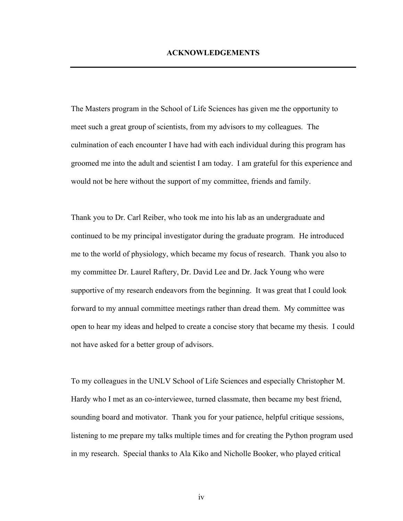The Masters program in the School of Life Sciences has given me the opportunity to meet such a great group of scientists, from my advisors to my colleagues. The culmination of each encounter I have had with each individual during this program has groomed me into the adult and scientist I am today. I am grateful for this experience and would not be here without the support of my committee, friends and family.

Thank you to Dr. Carl Reiber, who took me into his lab as an undergraduate and continued to be my principal investigator during the graduate program. He introduced me to the world of physiology, which became my focus of research. Thank you also to my committee Dr. Laurel Raftery, Dr. David Lee and Dr. Jack Young who were supportive of my research endeavors from the beginning. It was great that I could look forward to my annual committee meetings rather than dread them. My committee was open to hear my ideas and helped to create a concise story that became my thesis. I could not have asked for a better group of advisors.

To my colleagues in the UNLV School of Life Sciences and especially Christopher M. Hardy who I met as an co-interviewee, turned classmate, then became my best friend, sounding board and motivator. Thank you for your patience, helpful critique sessions, listening to me prepare my talks multiple times and for creating the Python program used in my research. Special thanks to Ala Kiko and Nicholle Booker, who played critical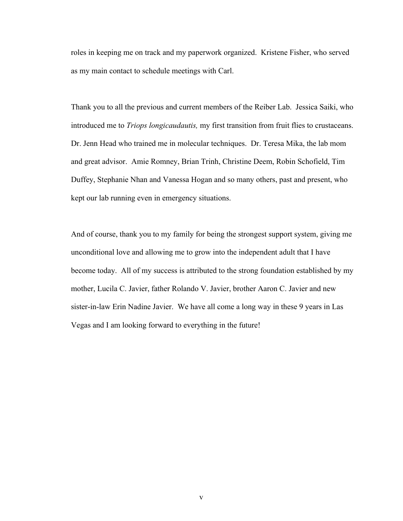roles in keeping me on track and my paperwork organized. Kristene Fisher, who served as my main contact to schedule meetings with Carl.

Thank you to all the previous and current members of the Reiber Lab. Jessica Saiki, who introduced me to *Triops longicaudautis,* my first transition from fruit flies to crustaceans. Dr. Jenn Head who trained me in molecular techniques. Dr. Teresa Mika, the lab mom and great advisor. Amie Romney, Brian Trinh, Christine Deem, Robin Schofield, Tim Duffey, Stephanie Nhan and Vanessa Hogan and so many others, past and present, who kept our lab running even in emergency situations.

And of course, thank you to my family for being the strongest support system, giving me unconditional love and allowing me to grow into the independent adult that I have become today. All of my success is attributed to the strong foundation established by my mother, Lucila C. Javier, father Rolando V. Javier, brother Aaron C. Javier and new sister-in-law Erin Nadine Javier. We have all come a long way in these 9 years in Las Vegas and I am looking forward to everything in the future!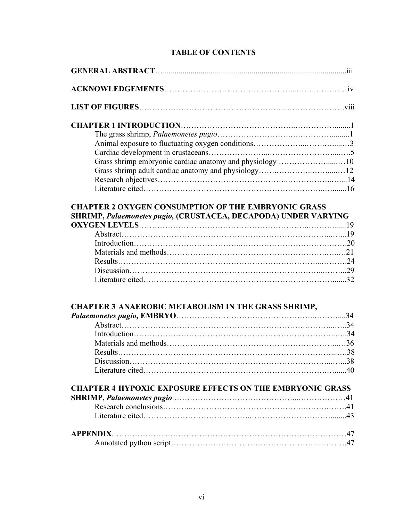# **TABLE OF CONTENTS**

| Grass shrimp embryonic cardiac anatomy and physiology 10                                                                             |  |
|--------------------------------------------------------------------------------------------------------------------------------------|--|
|                                                                                                                                      |  |
|                                                                                                                                      |  |
|                                                                                                                                      |  |
| <b>CHAPTER 2 OXYGEN CONSUMPTION OF THE EMBRYONIC GRASS</b><br><b>SHRIMP, Palaemonetes pugio, (CRUSTACEA, DECAPODA) UNDER VARYING</b> |  |
|                                                                                                                                      |  |
|                                                                                                                                      |  |
|                                                                                                                                      |  |
|                                                                                                                                      |  |
|                                                                                                                                      |  |
|                                                                                                                                      |  |
|                                                                                                                                      |  |
| <b>CHAPTER 3 ANAEROBIC METABOLISM IN THE GRASS SHRIMP,</b>                                                                           |  |
|                                                                                                                                      |  |
|                                                                                                                                      |  |
|                                                                                                                                      |  |
|                                                                                                                                      |  |
| $\frac{38}{38}$<br>Discussion                                                                                                        |  |
|                                                                                                                                      |  |
|                                                                                                                                      |  |
| <b>CHAPTER 4 HYPOXIC EXPOSURE EFFECTS ON THE EMBRYONIC GRASS</b>                                                                     |  |
|                                                                                                                                      |  |
|                                                                                                                                      |  |
|                                                                                                                                      |  |
| <b>APPENDIX</b>                                                                                                                      |  |
|                                                                                                                                      |  |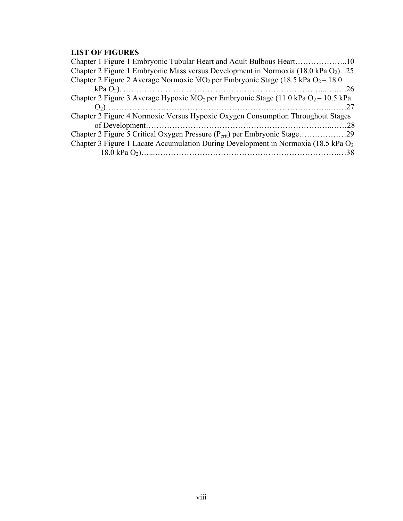# **LIST OF FIGURES**

| Chapter 1 Figure 1 Embryonic Tubular Heart and Adult Bulbous Heart10                             |
|--------------------------------------------------------------------------------------------------|
| Chapter 2 Figure 1 Embryonic Mass versus Development in Normoxia (18.0 kPa O <sub>2</sub> )25    |
| Chapter 2 Figure 2 Average Normoxic $MO_2$ per Embryonic Stage (18.5 kPa $O_2 - 18.0$ )          |
|                                                                                                  |
| Chapter 2 Figure 3 Average Hypoxic $\dot{M}O_2$ per Embryonic Stage (11.0 kPa $O_2$ – 10.5 kPa   |
|                                                                                                  |
| Chapter 2 Figure 4 Normoxic Versus Hypoxic Oxygen Consumption Throughout Stages                  |
|                                                                                                  |
|                                                                                                  |
| Chapter 3 Figure 1 Lacate Accumulation During Development in Normoxia (18.5 kPa O <sub>2</sub> ) |
|                                                                                                  |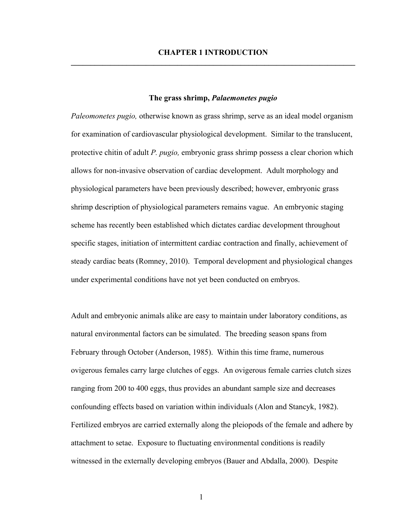#### **The grass shrimp,** *Palaemonetes pugio*

*Paleomonetes pugio,* otherwise known as grass shrimp, serve as an ideal model organism for examination of cardiovascular physiological development. Similar to the translucent, protective chitin of adult *P. pugio,* embryonic grass shrimp possess a clear chorion which allows for non-invasive observation of cardiac development. Adult morphology and physiological parameters have been previously described; however, embryonic grass shrimp description of physiological parameters remains vague. An embryonic staging scheme has recently been established which dictates cardiac development throughout specific stages, initiation of intermittent cardiac contraction and finally, achievement of steady cardiac beats (Romney, 2010). Temporal development and physiological changes under experimental conditions have not yet been conducted on embryos.

Adult and embryonic animals alike are easy to maintain under laboratory conditions, as natural environmental factors can be simulated. The breeding season spans from February through October (Anderson, 1985). Within this time frame, numerous ovigerous females carry large clutches of eggs. An ovigerous female carries clutch sizes ranging from 200 to 400 eggs, thus provides an abundant sample size and decreases confounding effects based on variation within individuals (Alon and Stancyk, 1982). Fertilized embryos are carried externally along the pleiopods of the female and adhere by attachment to setae. Exposure to fluctuating environmental conditions is readily witnessed in the externally developing embryos (Bauer and Abdalla, 2000). Despite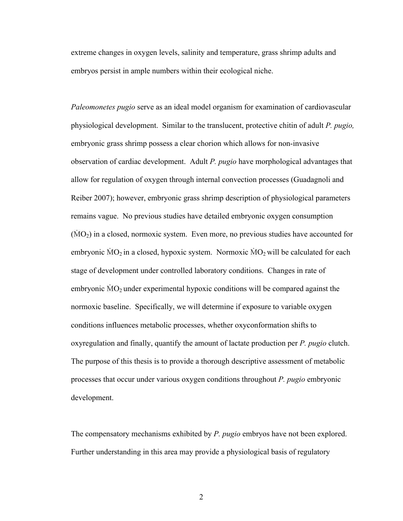extreme changes in oxygen levels, salinity and temperature, grass shrimp adults and embryos persist in ample numbers within their ecological niche.

*Paleomonetes pugio* serve as an ideal model organism for examination of cardiovascular physiological development. Similar to the translucent, protective chitin of adult *P. pugio,*  embryonic grass shrimp possess a clear chorion which allows for non-invasive observation of cardiac development. Adult *P. pugio* have morphological advantages that allow for regulation of oxygen through internal convection processes (Guadagnoli and Reiber 2007); however, embryonic grass shrimp description of physiological parameters remains vague. No previous studies have detailed embryonic oxygen consumption  $(MO<sub>2</sub>)$  in a closed, normoxic system. Even more, no previous studies have accounted for embryonic  $MO_2$  in a closed, hypoxic system. Normoxic  $MO_2$  will be calculated for each stage of development under controlled laboratory conditions. Changes in rate of embryonic  $MO_2$  under experimental hypoxic conditions will be compared against the normoxic baseline. Specifically, we will determine if exposure to variable oxygen conditions influences metabolic processes, whether oxyconformation shifts to oxyregulation and finally, quantify the amount of lactate production per *P. pugio* clutch. The purpose of this thesis is to provide a thorough descriptive assessment of metabolic processes that occur under various oxygen conditions throughout *P. pugio* embryonic development.

The compensatory mechanisms exhibited by *P. pugio* embryos have not been explored. Further understanding in this area may provide a physiological basis of regulatory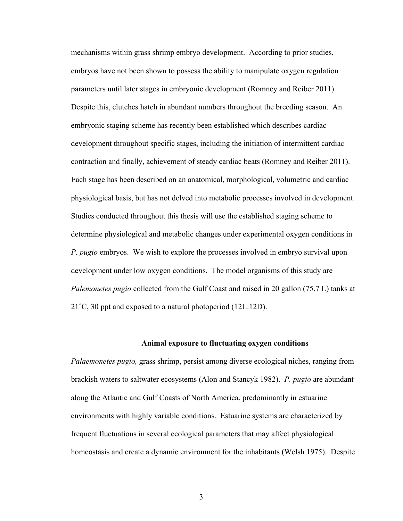mechanisms within grass shrimp embryo development. According to prior studies, embryos have not been shown to possess the ability to manipulate oxygen regulation parameters until later stages in embryonic development (Romney and Reiber 2011). Despite this, clutches hatch in abundant numbers throughout the breeding season. An embryonic staging scheme has recently been established which describes cardiac development throughout specific stages, including the initiation of intermittent cardiac contraction and finally, achievement of steady cardiac beats (Romney and Reiber 2011). Each stage has been described on an anatomical, morphological, volumetric and cardiac physiological basis, but has not delved into metabolic processes involved in development. Studies conducted throughout this thesis will use the established staging scheme to determine physiological and metabolic changes under experimental oxygen conditions in *P. pugio* embryos. We wish to explore the processes involved in embryo survival upon development under low oxygen conditions. The model organisms of this study are *Palemonetes pugio* collected from the Gulf Coast and raised in 20 gallon (75.7 L) tanks at 21˚C, 30 ppt and exposed to a natural photoperiod (12L:12D).

#### **Animal exposure to fluctuating oxygen conditions**

*Palaemonetes pugio,* grass shrimp, persist among diverse ecological niches, ranging from brackish waters to saltwater ecosystems (Alon and Stancyk 1982). *P. pugio* are abundant along the Atlantic and Gulf Coasts of North America, predominantly in estuarine environments with highly variable conditions. Estuarine systems are characterized by frequent fluctuations in several ecological parameters that may affect physiological homeostasis and create a dynamic environment for the inhabitants (Welsh 1975). Despite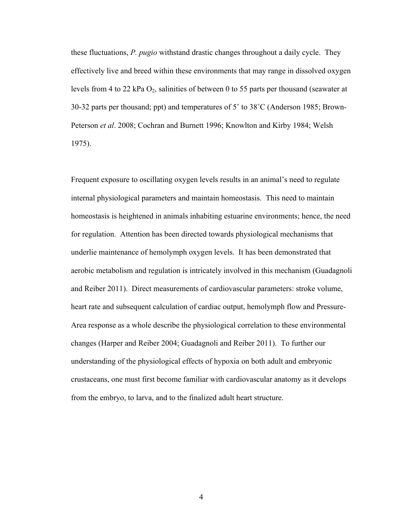these fluctuations, *P. pugio* withstand drastic changes throughout a daily cycle. They effectively live and breed within these environments that may range in dissolved oxygen levels from 4 to 22 kPa  $O_2$ , salinities of between 0 to 55 parts per thousand (seawater at 30-32 parts per thousand; ppt) and temperatures of 5˚ to 38˚C (Anderson 1985; Brown-Peterson *et al*. 2008; Cochran and Burnett 1996; Knowlton and Kirby 1984; Welsh 1975).

Frequent exposure to oscillating oxygen levels results in an animal's need to regulate internal physiological parameters and maintain homeostasis. This need to maintain homeostasis is heightened in animals inhabiting estuarine environments; hence, the need for regulation. Attention has been directed towards physiological mechanisms that underlie maintenance of hemolymph oxygen levels. It has been demonstrated that aerobic metabolism and regulation is intricately involved in this mechanism (Guadagnoli and Reiber 2011). Direct measurements of cardiovascular parameters: stroke volume, heart rate and subsequent calculation of cardiac output, hemolymph flow and Pressure-Area response as a whole describe the physiological correlation to these environmental changes (Harper and Reiber 2004; Guadagnoli and Reiber 2011). To further our understanding of the physiological effects of hypoxia on both adult and embryonic crustaceans, one must first become familiar with cardiovascular anatomy as it develops from the embryo, to larva, and to the finalized adult heart structure.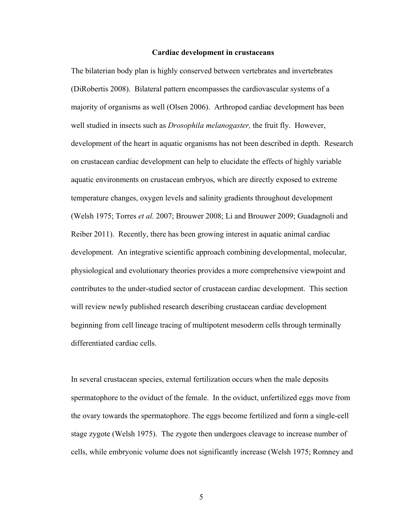#### **Cardiac development in crustaceans**

The bilaterian body plan is highly conserved between vertebrates and invertebrates (DiRobertis 2008). Bilateral pattern encompasses the cardiovascular systems of a majority of organisms as well (Olsen 2006). Arthropod cardiac development has been well studied in insects such as *Drosophila melanogaster,* the fruit fly. However, development of the heart in aquatic organisms has not been described in depth. Research on crustacean cardiac development can help to elucidate the effects of highly variable aquatic environments on crustacean embryos, which are directly exposed to extreme temperature changes, oxygen levels and salinity gradients throughout development (Welsh 1975; Torres *et al.* 2007; Brouwer 2008; Li and Brouwer 2009; Guadagnoli and Reiber 2011). Recently, there has been growing interest in aquatic animal cardiac development. An integrative scientific approach combining developmental, molecular, physiological and evolutionary theories provides a more comprehensive viewpoint and contributes to the under-studied sector of crustacean cardiac development. This section will review newly published research describing crustacean cardiac development beginning from cell lineage tracing of multipotent mesoderm cells through terminally differentiated cardiac cells.

In several crustacean species, external fertilization occurs when the male deposits spermatophore to the oviduct of the female. In the oviduct, unfertilized eggs move from the ovary towards the spermatophore. The eggs become fertilized and form a single-cell stage zygote (Welsh 1975). The zygote then undergoes cleavage to increase number of cells, while embryonic volume does not significantly increase (Welsh 1975; Romney and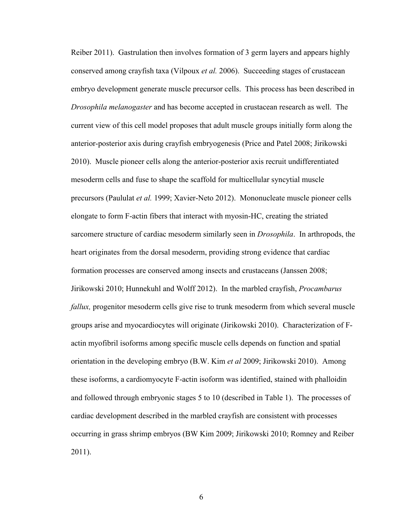Reiber 2011). Gastrulation then involves formation of 3 germ layers and appears highly conserved among crayfish taxa (Vilpoux *et al.* 2006). Succeeding stages of crustacean embryo development generate muscle precursor cells. This process has been described in *Drosophila melanogaster* and has become accepted in crustacean research as well. The current view of this cell model proposes that adult muscle groups initially form along the anterior-posterior axis during crayfish embryogenesis (Price and Patel 2008; Jirikowski 2010). Muscle pioneer cells along the anterior-posterior axis recruit undifferentiated mesoderm cells and fuse to shape the scaffold for multicellular syncytial muscle precursors (Paululat *et al.* 1999; Xavier-Neto 2012). Mononucleate muscle pioneer cells elongate to form F-actin fibers that interact with myosin-HC, creating the striated sarcomere structure of cardiac mesoderm similarly seen in *Drosophila*. In arthropods, the heart originates from the dorsal mesoderm, providing strong evidence that cardiac formation processes are conserved among insects and crustaceans (Janssen 2008; Jirikowski 2010; Hunnekuhl and Wolff 2012).In the marbled crayfish, *Procambarus fallux*, progenitor mesoderm cells give rise to trunk mesoderm from which several muscle groups arise and myocardiocytes will originate (Jirikowski 2010). Characterization of Factin myofibril isoforms among specific muscle cells depends on function and spatial orientation in the developing embryo (B.W. Kim *et al* 2009; Jirikowski 2010). Among these isoforms, a cardiomyocyte F-actin isoform was identified, stained with phalloidin and followed through embryonic stages 5 to 10 (described in Table 1). The processes of cardiac development described in the marbled crayfish are consistent with processes occurring in grass shrimp embryos (BW Kim 2009; Jirikowski 2010; Romney and Reiber 2011).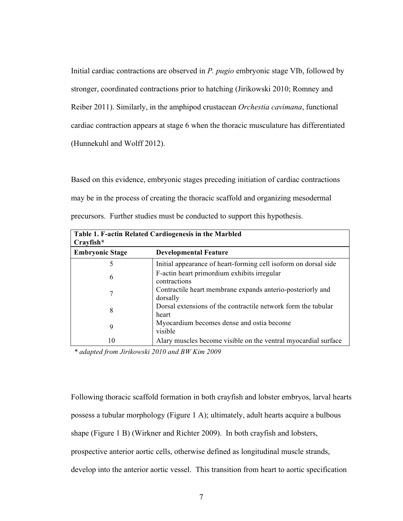Initial cardiac contractions are observed in *P. pugio* embryonic stage VIb, followed by stronger, coordinated contractions prior to hatching (Jirikowski 2010; Romney and Reiber 2011). Similarly, in the amphipod crustacean *Orchestia cavimana*, functional cardiac contraction appears at stage 6 when the thoracic musculature has differentiated (Hunnekuhl and Wolff 2012).

Based on this evidence, embryonic stages preceding initiation of cardiac contractions may be in the process of creating the thoracic scaffold and organizing mesodermal precursors. Further studies must be conducted to support this hypothesis.

| Table 1. F-actin Related Cardiogenesis in the Marbled<br>Crayfish* |                                                                        |  |  |  |  |
|--------------------------------------------------------------------|------------------------------------------------------------------------|--|--|--|--|
| <b>Embryonic Stage</b>                                             | <b>Developmental Feature</b>                                           |  |  |  |  |
|                                                                    | Initial appearance of heart-forming cell isoform on dorsal side        |  |  |  |  |
| 6                                                                  | F-actin heart primordium exhibits irregular<br>contractions            |  |  |  |  |
|                                                                    | Contractile heart membrane expands anterio-posteriorly and<br>dorsally |  |  |  |  |
| 8                                                                  | Dorsal extensions of the contractile network form the tubular<br>heart |  |  |  |  |
| 9                                                                  | Myocardium becomes dense and ostia become<br>visible                   |  |  |  |  |
| 10                                                                 | Alary muscles become visible on the ventral myocardial surface         |  |  |  |  |

*\* adapted from Jirikowski 2010 and BW Kim 2009*

Following thoracic scaffold formation in both crayfish and lobster embryos, larval hearts possess a tubular morphology (Figure 1 A); ultimately, adult hearts acquire a bulbous shape (Figure 1 B) (Wirkner and Richter 2009). In both crayfish and lobsters, prospective anterior aortic cells, otherwise defined as longitudinal muscle strands, develop into the anterior aortic vessel. This transition from heart to aortic specification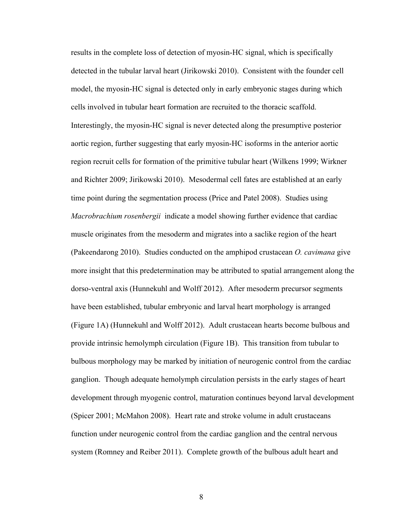results in the complete loss of detection of myosin-HC signal, which is specifically detected in the tubular larval heart (Jirikowski 2010). Consistent with the founder cell model, the myosin-HC signal is detected only in early embryonic stages during which cells involved in tubular heart formation are recruited to the thoracic scaffold. Interestingly, the myosin-HC signal is never detected along the presumptive posterior aortic region, further suggesting that early myosin-HC isoforms in the anterior aortic region recruit cells for formation of the primitive tubular heart (Wilkens 1999; Wirkner and Richter 2009; Jirikowski 2010). Mesodermal cell fates are established at an early time point during the segmentation process (Price and Patel 2008). Studies using *Macrobrachium rosenbergii* indicate a model showing further evidence that cardiac muscle originates from the mesoderm and migrates into a saclike region of the heart (Pakeendarong 2010). Studies conducted on the amphipod crustacean *O. cavimana* give more insight that this predetermination may be attributed to spatial arrangement along the dorso-ventral axis (Hunnekuhl and Wolff 2012). After mesoderm precursor segments have been established, tubular embryonic and larval heart morphology is arranged (Figure 1A) (Hunnekuhl and Wolff 2012). Adult crustacean hearts become bulbous and provide intrinsic hemolymph circulation (Figure 1B). This transition from tubular to bulbous morphology may be marked by initiation of neurogenic control from the cardiac ganglion. Though adequate hemolymph circulation persists in the early stages of heart development through myogenic control, maturation continues beyond larval development (Spicer 2001; McMahon 2008). Heart rate and stroke volume in adult crustaceans function under neurogenic control from the cardiac ganglion and the central nervous system (Romney and Reiber 2011). Complete growth of the bulbous adult heart and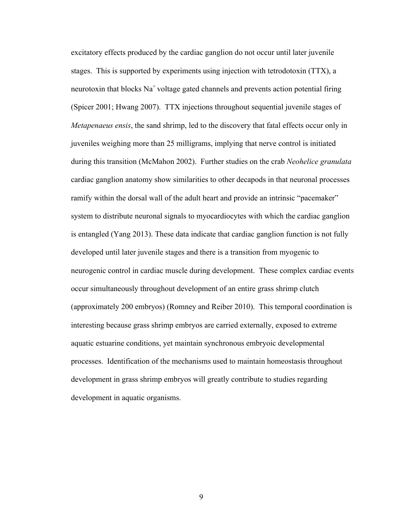excitatory effects produced by the cardiac ganglion do not occur until later juvenile stages. This is supported by experiments using injection with tetrodotoxin (TTX), a neurotoxin that blocks  $Na<sup>+</sup>$  voltage gated channels and prevents action potential firing (Spicer 2001; Hwang 2007). TTX injections throughout sequential juvenile stages of *Metapenaeus ensis*, the sand shrimp, led to the discovery that fatal effects occur only in juveniles weighing more than 25 milligrams, implying that nerve control is initiated during this transition (McMahon 2002). Further studies on the crab *Neohelice granulata* cardiac ganglion anatomy show similarities to other decapods in that neuronal processes ramify within the dorsal wall of the adult heart and provide an intrinsic "pacemaker" system to distribute neuronal signals to myocardiocytes with which the cardiac ganglion is entangled (Yang 2013). These data indicate that cardiac ganglion function is not fully developed until later juvenile stages and there is a transition from myogenic to neurogenic control in cardiac muscle during development. These complex cardiac events occur simultaneously throughout development of an entire grass shrimp clutch (approximately 200 embryos) (Romney and Reiber 2010). This temporal coordination is interesting because grass shrimp embryos are carried externally, exposed to extreme aquatic estuarine conditions, yet maintain synchronous embryoic developmental processes. Identification of the mechanisms used to maintain homeostasis throughout development in grass shrimp embryos will greatly contribute to studies regarding development in aquatic organisms.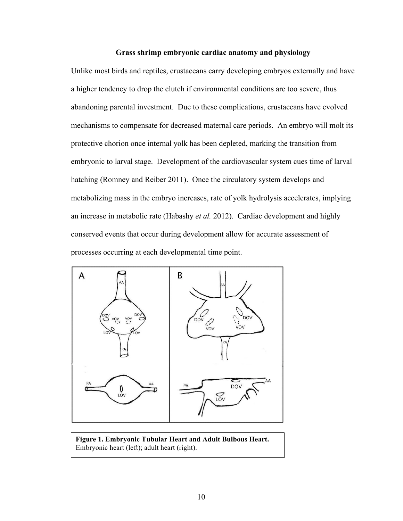#### **Grass shrimp embryonic cardiac anatomy and physiology**

Unlike most birds and reptiles, crustaceans carry developing embryos externally and have a higher tendency to drop the clutch if environmental conditions are too severe, thus abandoning parental investment. Due to these complications, crustaceans have evolved mechanisms to compensate for decreased maternal care periods. An embryo will molt its protective chorion once internal yolk has been depleted, marking the transition from embryonic to larval stage. Development of the cardiovascular system cues time of larval hatching (Romney and Reiber 2011). Once the circulatory system develops and metabolizing mass in the embryo increases, rate of yolk hydrolysis accelerates, implying an increase in metabolic rate (Habashy *et al.* 2012). Cardiac development and highly conserved events that occur during development allow for accurate assessment of processes occurring at each developmental time point.



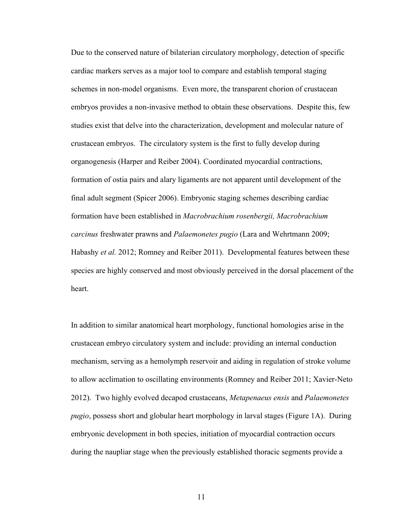Due to the conserved nature of bilaterian circulatory morphology, detection of specific cardiac markers serves as a major tool to compare and establish temporal staging schemes in non-model organisms. Even more, the transparent chorion of crustacean embryos provides a non-invasive method to obtain these observations. Despite this, few studies exist that delve into the characterization, development and molecular nature of crustacean embryos. The circulatory system is the first to fully develop during organogenesis (Harper and Reiber 2004). Coordinated myocardial contractions, formation of ostia pairs and alary ligaments are not apparent until development of the final adult segment (Spicer 2006). Embryonic staging schemes describing cardiac formation have been established in *Macrobrachium rosenbergii, Macrobrachium carcinus* freshwater prawns and *Palaemonetes pugio* (Lara and Wehrtmann 2009; Habashy *et al.* 2012; Romney and Reiber 2011). Developmental features between these species are highly conserved and most obviously perceived in the dorsal placement of the heart.

In addition to similar anatomical heart morphology, functional homologies arise in the crustacean embryo circulatory system and include: providing an internal conduction mechanism, serving as a hemolymph reservoir and aiding in regulation of stroke volume to allow acclimation to oscillating environments (Romney and Reiber 2011; Xavier-Neto 2012). Two highly evolved decapod crustaceans, *Metapenaeus ensis* and *Palaemonetes pugio*, possess short and globular heart morphology in larval stages (Figure 1A). During embryonic development in both species, initiation of myocardial contraction occurs during the naupliar stage when the previously established thoracic segments provide a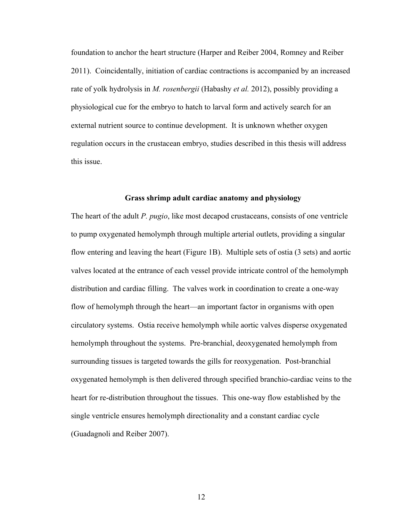foundation to anchor the heart structure (Harper and Reiber 2004, Romney and Reiber 2011). Coincidentally, initiation of cardiac contractions is accompanied by an increased rate of yolk hydrolysis in *M. rosenbergii* (Habashy *et al.* 2012), possibly providing a physiological cue for the embryo to hatch to larval form and actively search for an external nutrient source to continue development. It is unknown whether oxygen regulation occurs in the crustacean embryo, studies described in this thesis will address this issue.

#### **Grass shrimp adult cardiac anatomy and physiology**

The heart of the adult *P. pugio*, like most decapod crustaceans, consists of one ventricle to pump oxygenated hemolymph through multiple arterial outlets, providing a singular flow entering and leaving the heart (Figure 1B). Multiple sets of ostia (3 sets) and aortic valves located at the entrance of each vessel provide intricate control of the hemolymph distribution and cardiac filling. The valves work in coordination to create a one-way flow of hemolymph through the heart—an important factor in organisms with open circulatory systems. Ostia receive hemolymph while aortic valves disperse oxygenated hemolymph throughout the systems. Pre-branchial, deoxygenated hemolymph from surrounding tissues is targeted towards the gills for reoxygenation. Post-branchial oxygenated hemolymph is then delivered through specified branchio-cardiac veins to the heart for re-distribution throughout the tissues. This one-way flow established by the single ventricle ensures hemolymph directionality and a constant cardiac cycle (Guadagnoli and Reiber 2007).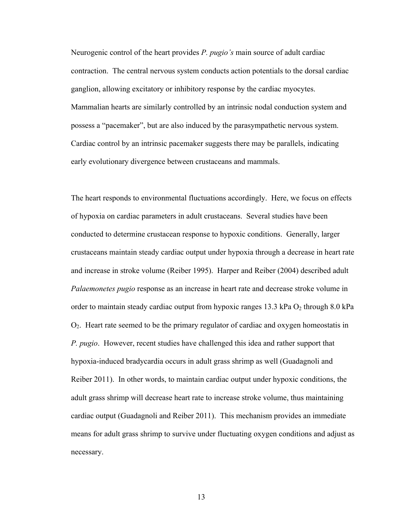Neurogenic control of the heart provides *P. pugio's* main source of adult cardiac contraction. The central nervous system conducts action potentials to the dorsal cardiac ganglion, allowing excitatory or inhibitory response by the cardiac myocytes. Mammalian hearts are similarly controlled by an intrinsic nodal conduction system and possess a "pacemaker", but are also induced by the parasympathetic nervous system. Cardiac control by an intrinsic pacemaker suggests there may be parallels, indicating early evolutionary divergence between crustaceans and mammals.

The heart responds to environmental fluctuations accordingly. Here, we focus on effects of hypoxia on cardiac parameters in adult crustaceans. Several studies have been conducted to determine crustacean response to hypoxic conditions. Generally, larger crustaceans maintain steady cardiac output under hypoxia through a decrease in heart rate and increase in stroke volume (Reiber 1995). Harper and Reiber (2004) described adult *Palaemonetes pugio* response as an increase in heart rate and decrease stroke volume in order to maintain steady cardiac output from hypoxic ranges 13.3 kPa  $O_2$  through 8.0 kPa  $O<sub>2</sub>$ . Heart rate seemed to be the primary regulator of cardiac and oxygen homeostatis in *P. pugio*. However, recent studies have challenged this idea and rather support that hypoxia-induced bradycardia occurs in adult grass shrimp as well (Guadagnoli and Reiber 2011). In other words, to maintain cardiac output under hypoxic conditions, the adult grass shrimp will decrease heart rate to increase stroke volume, thus maintaining cardiac output (Guadagnoli and Reiber 2011). This mechanism provides an immediate means for adult grass shrimp to survive under fluctuating oxygen conditions and adjust as necessary.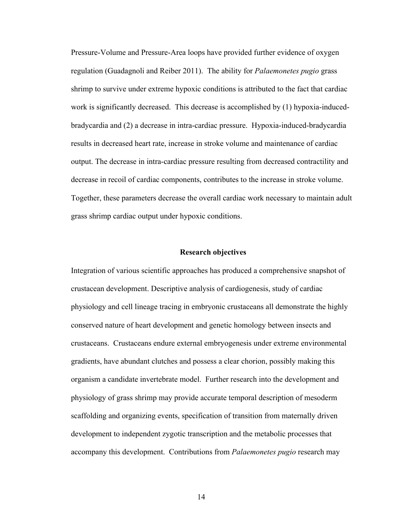Pressure-Volume and Pressure-Area loops have provided further evidence of oxygen regulation (Guadagnoli and Reiber 2011). The ability for *Palaemonetes pugio* grass shrimp to survive under extreme hypoxic conditions is attributed to the fact that cardiac work is significantly decreased. This decrease is accomplished by (1) hypoxia-inducedbradycardia and (2) a decrease in intra-cardiac pressure. Hypoxia-induced-bradycardia results in decreased heart rate, increase in stroke volume and maintenance of cardiac output. The decrease in intra-cardiac pressure resulting from decreased contractility and decrease in recoil of cardiac components, contributes to the increase in stroke volume. Together, these parameters decrease the overall cardiac work necessary to maintain adult grass shrimp cardiac output under hypoxic conditions.

#### **Research objectives**

Integration of various scientific approaches has produced a comprehensive snapshot of crustacean development. Descriptive analysis of cardiogenesis, study of cardiac physiology and cell lineage tracing in embryonic crustaceans all demonstrate the highly conserved nature of heart development and genetic homology between insects and crustaceans. Crustaceans endure external embryogenesis under extreme environmental gradients, have abundant clutches and possess a clear chorion, possibly making this organism a candidate invertebrate model. Further research into the development and physiology of grass shrimp may provide accurate temporal description of mesoderm scaffolding and organizing events, specification of transition from maternally driven development to independent zygotic transcription and the metabolic processes that accompany this development. Contributions from *Palaemonetes pugio* research may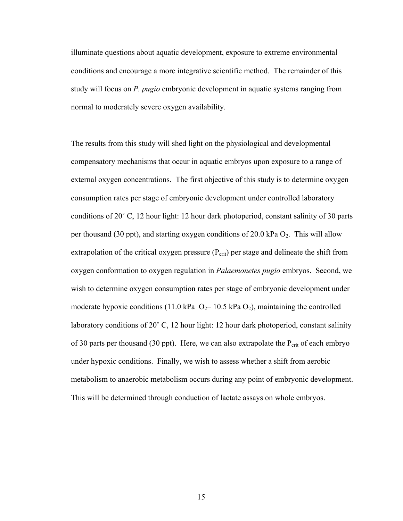illuminate questions about aquatic development, exposure to extreme environmental conditions and encourage a more integrative scientific method. The remainder of this study will focus on *P. pugio* embryonic development in aquatic systems ranging from normal to moderately severe oxygen availability.

The results from this study will shed light on the physiological and developmental compensatory mechanisms that occur in aquatic embryos upon exposure to a range of external oxygen concentrations. The first objective of this study is to determine oxygen consumption rates per stage of embryonic development under controlled laboratory conditions of 20˚ C, 12 hour light: 12 hour dark photoperiod, constant salinity of 30 parts per thousand (30 ppt), and starting oxygen conditions of 20.0 kPa  $O_2$ . This will allow extrapolation of the critical oxygen pressure  $(P_{\text{crit}})$  per stage and delineate the shift from oxygen conformation to oxygen regulation in *Palaemonetes pugio* embryos. Second, we wish to determine oxygen consumption rates per stage of embryonic development under moderate hypoxic conditions (11.0 kPa  $O_2$ –10.5 kPa  $O_2$ ), maintaining the controlled laboratory conditions of 20˚ C, 12 hour light: 12 hour dark photoperiod, constant salinity of 30 parts per thousand (30 ppt). Here, we can also extrapolate the  $P_{\text{crit}}$  of each embryo under hypoxic conditions. Finally, we wish to assess whether a shift from aerobic metabolism to anaerobic metabolism occurs during any point of embryonic development. This will be determined through conduction of lactate assays on whole embryos.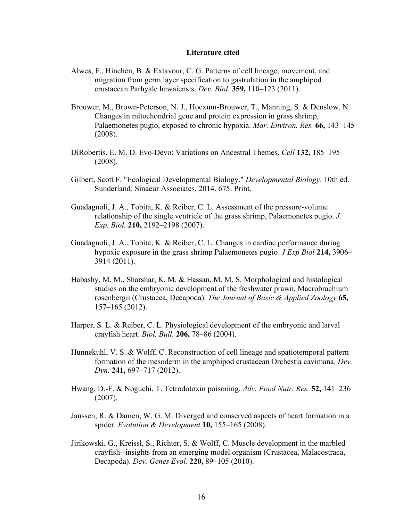#### **Literature cited**

- Alwes, F., Hinchen, B. & Extavour, C. G. Patterns of cell lineage, movement, and migration from germ layer specification to gastrulation in the amphipod crustacean Parhyale hawaiensis. *Dev. Biol.* **359,** 110–123 (2011).
- Brouwer, M., Brown-Peterson, N. J., Hoexum-Brouwer, T., Manning, S. & Denslow, N. Changes in mitochondrial gene and protein expression in grass shrimp, Palaemonetes pugio, exposed to chronic hypoxia. *Mar. Environ. Res.* **66,** 143–145 (2008).
- DiRobertis, E. M. D. Evo-Devo: Variations on Ancestral Themes. *Cell* **132,** 185–195 (2008).
- Gilbert, Scott F. "Ecological Developmental Biology." *Developmental Biology*. 10th ed. Sunderland: Sinaeur Associates, 2014. 675. Print.
- Guadagnoli, J. A., Tobita, K. & Reiber, C. L. Assessment of the pressure-volume relationship of the single ventricle of the grass shrimp, Palaemonetes pugio. *J. Exp. Biol.* **210,** 2192–2198 (2007).
- Guadagnoli, J. A., Tobita, K. & Reiber, C. L. Changes in cardiac performance during hypoxic exposure in the grass shrimp Palaemonetes pugio. *J Exp Biol* **214,** 3906– 3914 (2011).
- Habashy, M. M., Sharshar, K. M. & Hassan, M. M. S. Morphological and histological studies on the embryonic development of the freshwater prawn, Macrobrachium rosenbergii (Crustacea, Decapoda). *The Journal of Basic & Applied Zoology* **65,** 157–165 (2012).
- Harper, S. L. & Reiber, C. L. Physiological development of the embryonic and larval crayfish heart. *Biol. Bull.* **206,** 78–86 (2004).
- Hunnekuhl, V. S. & Wolff, C. Reconstruction of cell lineage and spatiotemporal pattern formation of the mesoderm in the amphipod crustacean Orchestia cavimana. *Dev. Dyn.* **241,** 697–717 (2012).
- Hwang, D.-F. & Noguchi, T. Tetrodotoxin poisoning. *Adv. Food Nutr. Res.* **52,** 141–236 (2007).
- Janssen, R. & Damen, W. G. M. Diverged and conserved aspects of heart formation in a spider. *Evolution & Development* **10,** 155–165 (2008).
- Jirikowski, G., Kreissl, S., Richter, S. & Wolff, C. Muscle development in the marbled crayfish--insights from an emerging model organism (Crustacea, Malacostraca, Decapoda). *Dev. Genes Evol.* **220,** 89–105 (2010).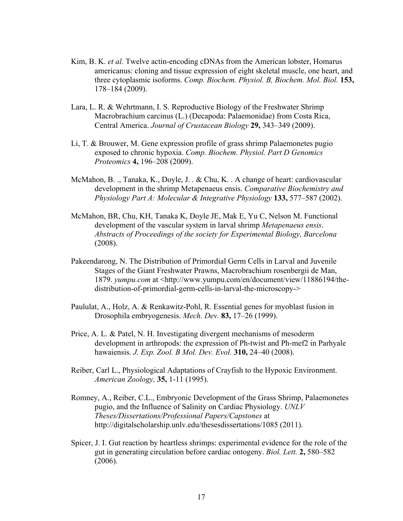- Kim, B. K. *et al.* Twelve actin-encoding cDNAs from the American lobster, Homarus americanus: cloning and tissue expression of eight skeletal muscle, one heart, and three cytoplasmic isoforms. *Comp. Biochem. Physiol. B, Biochem. Mol. Biol.* **153,** 178–184 (2009).
- Lara, L. R. & Wehrtmann, I. S. Reproductive Biology of the Freshwater Shrimp Macrobrachium carcinus (L.) (Decapoda: Palaemonidae) from Costa Rica, Central America. *Journal of Crustacean Biology* **29,** 343–349 (2009).
- Li, T. & Brouwer, M. Gene expression profile of grass shrimp Palaemonetes pugio exposed to chronic hypoxia. *Comp. Biochem. Physiol. Part D Genomics Proteomics* **4,** 196–208 (2009).
- McMahon, B. ., Tanaka, K., Doyle, J. . & Chu, K. . A change of heart: cardiovascular development in the shrimp Metapenaeus ensis. *Comparative Biochemistry and Physiology Part A: Molecular & Integrative Physiology* **133,** 577–587 (2002).
- McMahon, BR, Chu, KH, Tanaka K, Doyle JE, Mak E, Yu C, Nelson M. Functional development of the vascular system in larval shrimp *Metapenaeus ensis*. *Abstracts of Proceedings of the society for Experimental Biology, Barcelona*  (2008).
- Pakeendarong, N. The Distribution of Primordial Germ Cells in Larval and Juvenile Stages of the Giant Freshwater Prawns, Macrobrachium rosenbergii de Man, 1879. *yumpu.com* at <http://www.yumpu.com/en/document/view/11886194/thedistribution-of-primordial-germ-cells-in-larval-the-microscopy->
- Paululat, A., Holz, A. & Renkawitz-Pohl, R. Essential genes for myoblast fusion in Drosophila embryogenesis. *Mech. Dev.* **83,** 17–26 (1999).
- Price, A. L. & Patel, N. H. Investigating divergent mechanisms of mesoderm development in arthropods: the expression of Ph-twist and Ph-mef2 in Parhyale hawaiensis. *J. Exp. Zool. B Mol. Dev. Evol.* **310,** 24–40 (2008).
- Reiber, Carl L., Physiological Adaptations of Crayfish to the Hypoxic Environment. *American Zoology,* **35,** 1-11 (1995).
- Romney, A., Reiber, C.L., Embryonic Development of the Grass Shrimp, Palaemonetes pugio, and the Influence of Salinity on Cardiac Physiology. *UNLV Theses/Dissertations/Professional Papers/Capstones* at http://digitalscholarship.unlv.edu/thesesdissertations/1085 (2011).
- Spicer, J. I. Gut reaction by heartless shrimps: experimental evidence for the role of the gut in generating circulation before cardiac ontogeny. *Biol. Lett.* **2,** 580–582 (2006).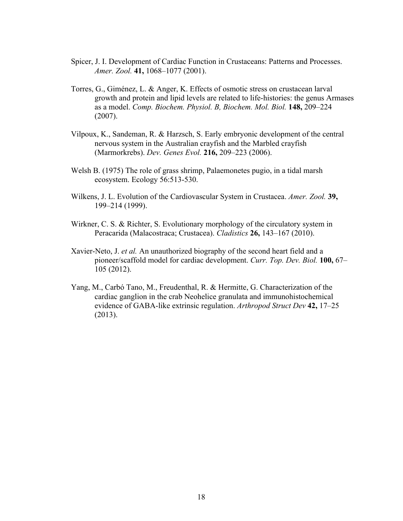- Spicer, J. I. Development of Cardiac Function in Crustaceans: Patterns and Processes. *Amer. Zool.* **41,** 1068–1077 (2001).
- Torres, G., Giménez, L. & Anger, K. Effects of osmotic stress on crustacean larval growth and protein and lipid levels are related to life-histories: the genus Armases as a model. *Comp. Biochem. Physiol. B, Biochem. Mol. Biol.* **148,** 209–224 (2007).
- Vilpoux, K., Sandeman, R. & Harzsch, S. Early embryonic development of the central nervous system in the Australian crayfish and the Marbled crayfish (Marmorkrebs). *Dev. Genes Evol.* **216,** 209–223 (2006).
- Welsh B. (1975) The role of grass shrimp, Palaemonetes pugio, in a tidal marsh ecosystem. Ecology 56:513-530.
- Wilkens, J. L. Evolution of the Cardiovascular System in Crustacea. *Amer. Zool.* **39,** 199–214 (1999).
- Wirkner, C. S. & Richter, S. Evolutionary morphology of the circulatory system in Peracarida (Malacostraca; Crustacea). *Cladistics* **26,** 143–167 (2010).
- Xavier-Neto, J. *et al.* An unauthorized biography of the second heart field and a pioneer/scaffold model for cardiac development. *Curr. Top. Dev. Biol.* **100,** 67– 105 (2012).
- Yang, M., Carbó Tano, M., Freudenthal, R. & Hermitte, G. Characterization of the cardiac ganglion in the crab Neohelice granulata and immunohistochemical evidence of GABA-like extrinsic regulation. *Arthropod Struct Dev* **42,** 17–25 (2013).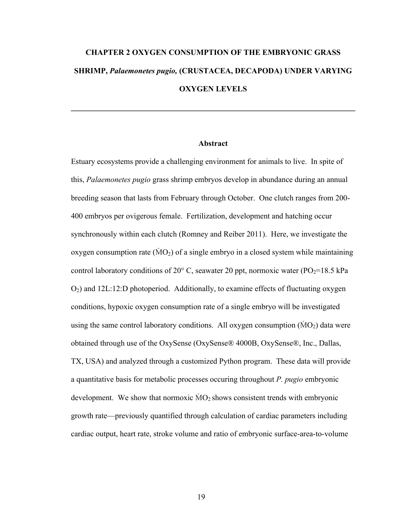# **CHAPTER 2 OXYGEN CONSUMPTION OF THE EMBRYONIC GRASS SHRIMP,** *Palaemonetes pugio,* **(CRUSTACEA, DECAPODA) UNDER VARYING OXYGEN LEVELS**

 $\mathcal{L}_\mathcal{L} = \{ \mathcal{L}_\mathcal{L} = \{ \mathcal{L}_\mathcal{L} = \{ \mathcal{L}_\mathcal{L} = \{ \mathcal{L}_\mathcal{L} = \{ \mathcal{L}_\mathcal{L} = \{ \mathcal{L}_\mathcal{L} = \{ \mathcal{L}_\mathcal{L} = \{ \mathcal{L}_\mathcal{L} = \{ \mathcal{L}_\mathcal{L} = \{ \mathcal{L}_\mathcal{L} = \{ \mathcal{L}_\mathcal{L} = \{ \mathcal{L}_\mathcal{L} = \{ \mathcal{L}_\mathcal{L} = \{ \mathcal{L}_\mathcal{$ 

#### **Abstract**

Estuary ecosystems provide a challenging environment for animals to live. In spite of this, *Palaemonetes pugio* grass shrimp embryos develop in abundance during an annual breeding season that lasts from February through October. One clutch ranges from 200- 400 embryos per ovigerous female. Fertilization, development and hatching occur synchronously within each clutch (Romney and Reiber 2011). Here, we investigate the oxygen consumption rate  $(\dot{MO}_2)$  of a single embryo in a closed system while maintaining control laboratory conditions of 20 $^{\circ}$  C, seawater 20 ppt, normoxic water (PO<sub>2</sub>=18.5 kPa O2) and 12L:12:D photoperiod. Additionally, to examine effects of fluctuating oxygen conditions, hypoxic oxygen consumption rate of a single embryo will be investigated using the same control laboratory conditions. All oxygen consumption  $(\dot{M}O_2)$  data were obtained through use of the OxySense (OxySense® 4000B, OxySense®, Inc., Dallas, TX, USA) and analyzed through a customized Python program. These data will provide a quantitative basis for metabolic processes occuring throughout *P. pugio* embryonic development. We show that normoxic  $\dot{M}O_2$  shows consistent trends with embryonic growth rate—previously quantified through calculation of cardiac parameters including cardiac output, heart rate, stroke volume and ratio of embryonic surface-area-to-volume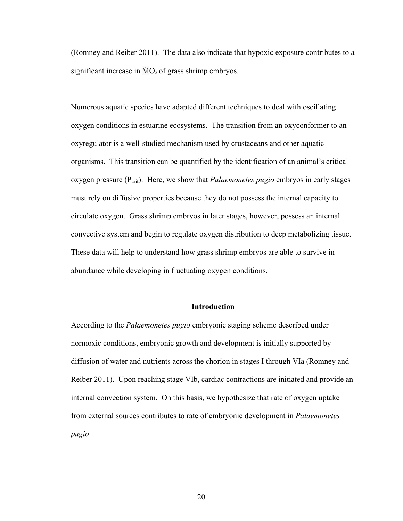(Romney and Reiber 2011). The data also indicate that hypoxic exposure contributes to a significant increase in  $MO<sub>2</sub>$  of grass shrimp embryos.

Numerous aquatic species have adapted different techniques to deal with oscillating oxygen conditions in estuarine ecosystems. The transition from an oxyconformer to an oxyregulator is a well-studied mechanism used by crustaceans and other aquatic organisms. This transition can be quantified by the identification of an animal's critical oxygen pressure (Pcrit). Here, we show that *Palaemonetes pugio* embryos in early stages must rely on diffusive properties because they do not possess the internal capacity to circulate oxygen. Grass shrimp embryos in later stages, however, possess an internal convective system and begin to regulate oxygen distribution to deep metabolizing tissue. These data will help to understand how grass shrimp embryos are able to survive in abundance while developing in fluctuating oxygen conditions.

#### **Introduction**

According to the *Palaemonetes pugio* embryonic staging scheme described under normoxic conditions, embryonic growth and development is initially supported by diffusion of water and nutrients across the chorion in stages I through VIa (Romney and Reiber 2011). Upon reaching stage VIb, cardiac contractions are initiated and provide an internal convection system. On this basis, we hypothesize that rate of oxygen uptake from external sources contributes to rate of embryonic development in *Palaemonetes pugio*.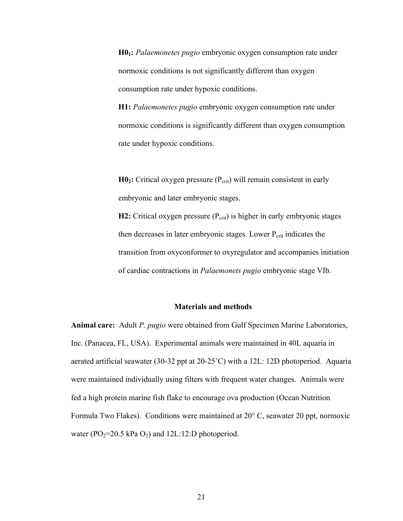**H01:** *Palaemonetes pugio* embryonic oxygen consumption rate under normoxic conditions is not significantly different than oxygen consumption rate under hypoxic conditions.

**H1:** *Palaemonetes pugio* embryonic oxygen consumption rate under normoxic conditions is significantly different than oxygen consumption rate under hypoxic conditions.

 $H0<sub>2</sub>$ : Critical oxygen pressure ( $P<sub>crit</sub>$ ) will remain consistent in early embryonic and later embryonic stages.

**H2:** Critical oxygen pressure  $(P_{\text{crit}})$  is higher in early embryonic stages then decreases in later embryonic stages. Lower  $P_{\text{crit}}$  indicates the transition from oxyconformer to oxyregulator and accompanies initiation of cardiac contractions in *Palaemonets pugio* embryonic stage VIb.

#### **Materials and methods**

**Animal care:** Adult *P. pugio* were obtained from Gulf Specimen Marine Laboratories, Inc. (Panacea, FL, USA). Experimental animals were maintained in 40L aquaria in aerated artificial seawater (30-32 ppt at 20-25˚C) with a 12L: 12D photoperiod. Aquaria were maintained individually using filters with frequent water changes. Animals were fed a high protein marine fish flake to encourage ova production (Ocean Nutrition Formula Two Flakes). Conditions were maintained at 20° C, seawater 20 ppt, normoxic water ( $PO_2=20.5$  kPa  $O_2$ ) and 12L:12:D photoperiod.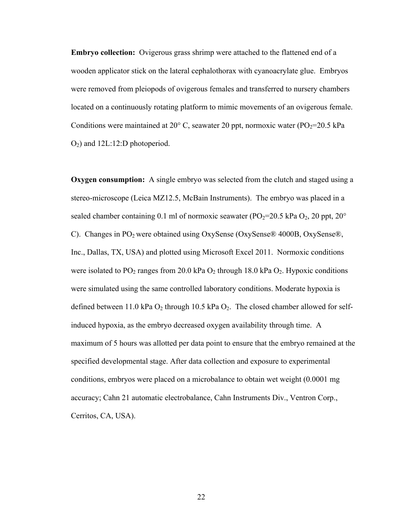**Embryo collection:** Ovigerous grass shrimp were attached to the flattened end of a wooden applicator stick on the lateral cephalothorax with cyanoacrylate glue. Embryos were removed from pleiopods of ovigerous females and transferred to nursery chambers located on a continuously rotating platform to mimic movements of an ovigerous female. Conditions were maintained at 20 $^{\circ}$  C, seawater 20 ppt, normoxic water (PO<sub>2</sub>=20.5 kPa O2) and 12L:12:D photoperiod.

**Oxygen consumption:** A single embryo was selected from the clutch and staged using a stereo-microscope (Leica MZ12.5, McBain Instruments). The embryo was placed in a sealed chamber containing 0.1 ml of normoxic seawater ( $PO<sub>2</sub>=20.5$  kPa  $O<sub>2</sub>$ , 20 ppt, 20° C). Changes in PO<sub>2</sub> were obtained using OxySense (OxySense® 4000B, OxySense®, Inc., Dallas, TX, USA) and plotted using Microsoft Excel 2011. Normoxic conditions were isolated to  $PO_2$  ranges from 20.0 kPa  $O_2$  through 18.0 kPa  $O_2$ . Hypoxic conditions were simulated using the same controlled laboratory conditions. Moderate hypoxia is defined between 11.0 kPa  $O_2$  through 10.5 kPa  $O_2$ . The closed chamber allowed for selfinduced hypoxia, as the embryo decreased oxygen availability through time. A maximum of 5 hours was allotted per data point to ensure that the embryo remained at the specified developmental stage. After data collection and exposure to experimental conditions, embryos were placed on a microbalance to obtain wet weight (0.0001 mg accuracy; Cahn 21 automatic electrobalance, Cahn Instruments Div., Ventron Corp., Cerritos, CA, USA).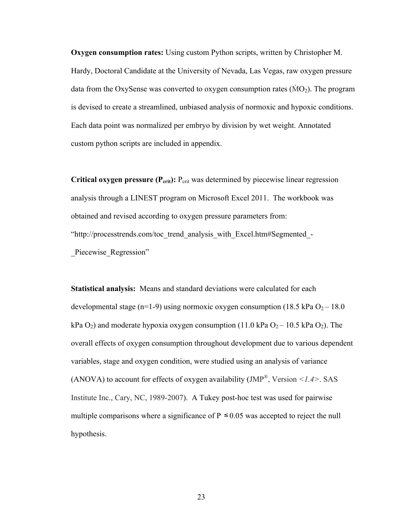**Oxygen consumption rates:** Using custom Python scripts, written by Christopher M. Hardy, Doctoral Candidate at the University of Nevada, Las Vegas, raw oxygen pressure data from the OxySense was converted to oxygen consumption rates  $(\dot{M}O_2)$ . The program is devised to create a streamlined, unbiased analysis of normoxic and hypoxic conditions. Each data point was normalized per embryo by division by wet weight. Annotated custom python scripts are included in appendix.

**Critical oxygen pressure (P<sub>crit</sub>):** P<sub>crit</sub> was determined by piecewise linear regression analysis through a LINEST program on Microsoft Excel 2011. The workbook was obtained and revised according to oxygen pressure parameters from: "http://processtrends.com/toc\_trend\_analysis\_with\_Excel.htm#Segmented\_- Piecewise Regression"

**Statistical analysis:** Means and standard deviations were calculated for each developmental stage (n=1-9) using normoxic oxygen consumption (18.5 kPa  $O_2$  – 18.0 kPa  $O_2$ ) and moderate hypoxia oxygen consumption (11.0 kPa  $O_2$  – 10.5 kPa  $O_2$ ). The overall effects of oxygen consumption throughout development due to various dependent variables, stage and oxygen condition, were studied using an analysis of variance (ANOVA) to account for effects of oxygen availability  $(JMP^{\circledast})$ , Version  $\leq l.4$  >. SAS Institute Inc., Cary, NC, 1989-2007). A Tukey post-hoc test was used for pairwise multiple comparisons where a significance of  $P \le 0.05$  was accepted to reject the null hypothesis.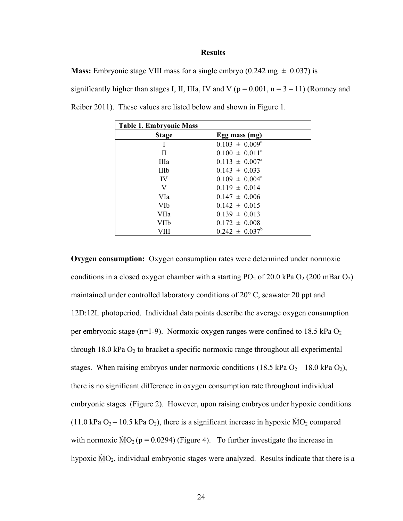#### **Results**

**Mass:** Embryonic stage VIII mass for a single embryo (0.242 mg  $\pm$  0.037) is significantly higher than stages I, II, IIIa, IV and V ( $p = 0.001$ ,  $n = 3 - 11$ ) (Romney and Reiber 2011). These values are listed below and shown in Figure 1.

| <b>Table 1. Embryonic Mass</b> |                              |
|--------------------------------|------------------------------|
| <b>Stage</b>                   | Egg mass (mg)                |
| L                              | $0.103 \pm 0.009^a$          |
| H                              | $0.100 \pm 0.011^a$          |
| <b>IIIa</b>                    | $0.113 \pm 0.007^{\text{a}}$ |
| <b>IIIb</b>                    | $0.143 \pm 0.033$            |
| IV                             | $0.109 \pm 0.004^a$          |
| V                              | $0.119 \pm 0.014$            |
| VIa                            | $0.147 \pm 0.006$            |
| VIb                            | $0.142 \pm 0.015$            |
| VIIa                           | $0.139 \pm 0.013$            |
| <b>VIIb</b>                    | $0.172 \pm 0.008$            |
| VIII                           | $0.242 \pm 0.037^b$          |

**Oxygen consumption:** Oxygen consumption rates were determined under normoxic conditions in a closed oxygen chamber with a starting  $PO_2$  of 20.0 kPa  $O_2$  (200 mBar  $O_2$ ) maintained under controlled laboratory conditions of 20° C, seawater 20 ppt and 12D:12L photoperiod. Individual data points describe the average oxygen consumption per embryonic stage (n=1-9). Normoxic oxygen ranges were confined to 18.5 kPa  $O_2$ through  $18.0$  kPa  $O_2$  to bracket a specific normoxic range throughout all experimental stages. When raising embryos under normoxic conditions (18.5 kPa  $O_2$  – 18.0 kPa  $O_2$ ), there is no significant difference in oxygen consumption rate throughout individual embryonic stages (Figure 2). However, upon raising embryos under hypoxic conditions  $(11.0 \text{ kPa } O_2 - 10.5 \text{ kPa } O_2)$ , there is a significant increase in hypoxic  $\text{MO}_2$  compared with normoxic  $MO_2(p = 0.0294)$  (Figure 4). To further investigate the increase in hypoxic  $\dot{M}O_2$ , individual embryonic stages were analyzed. Results indicate that there is a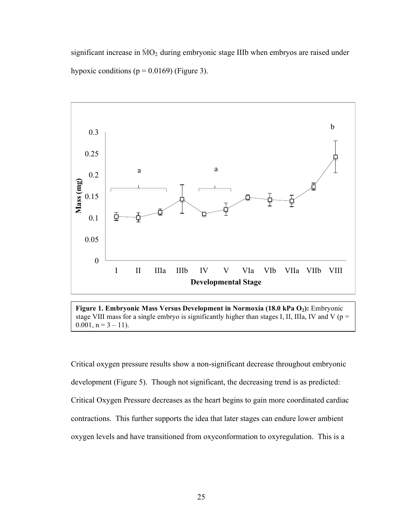significant increase in  $\dot{M}O_2$  during embryonic stage IIIb when embryos are raised under hypoxic conditions ( $p = 0.0169$ ) (Figure 3).



**Figure 1. Embryonic Mass Versus Development in Normoxia (18.0 kPa O<sub>2</sub>): Embryonic** stage VIII mass for a single embryo is significantly higher than stages I, II, IIIa, IV and V ( $p =$  $0.001$ ,  $n = 3 - 11$ ).

Critical oxygen pressure results show a non-significant decrease throughout embryonic development (Figure 5). Though not significant, the decreasing trend is as predicted: Critical Oxygen Pressure decreases as the heart begins to gain more coordinated cardiac contractions. This further supports the idea that later stages can endure lower ambient oxygen levels and have transitioned from oxyconformation to oxyregulation. This is a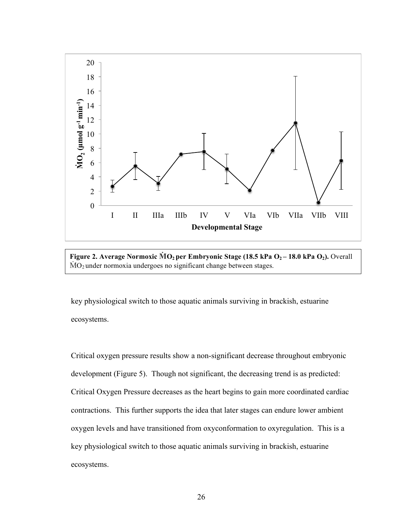

**Figure 2. Average Normoxic**  $\dot{M}O_2$  **per Embryonic Stage (18.5 kPa**  $O_2$  **– 18.0 kPa**  $O_2$ **). Overall**  $\dot{M}O<sub>2</sub>$  under normoxia undergoes no significant change between stages.

key physiological switch to those aquatic animals surviving in brackish, estuarine ecosystems.

Critical oxygen pressure results show a non-significant decrease throughout embryonic development (Figure 5). Though not significant, the decreasing trend is as predicted: Critical Oxygen Pressure decreases as the heart begins to gain more coordinated cardiac contractions. This further supports the idea that later stages can endure lower ambient oxygen levels and have transitioned from oxyconformation to oxyregulation. This is a key physiological switch to those aquatic animals surviving in brackish, estuarine ecosystems.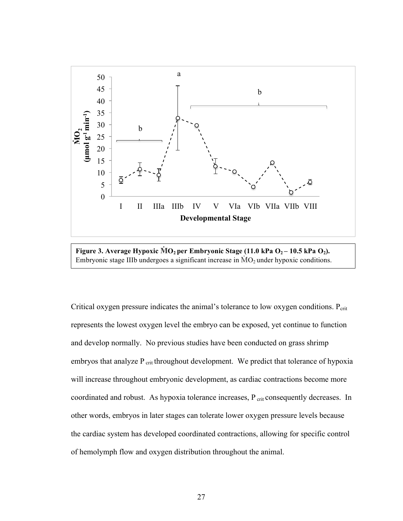

**Figure 3. Average Hypoxic**  $\dot{M}O_2$  **per Embryonic Stage (11.0 kPa**  $O_2$  **– 10.5 kPa**  $O_2$ **).** Embryonic stage IIIb undergoes a significant increase in  $\dot{M}O_2$  under hypoxic conditions.

Critical oxygen pressure indicates the animal's tolerance to low oxygen conditions.  $P_{crit}$ represents the lowest oxygen level the embryo can be exposed, yet continue to function and develop normally. No previous studies have been conducted on grass shrimp embryos that analyze P crit throughout development. We predict that tolerance of hypoxia will increase throughout embryonic development, as cardiac contractions become more coordinated and robust. As hypoxia tolerance increases, P crit consequently decreases. In other words, embryos in later stages can tolerate lower oxygen pressure levels because the cardiac system has developed coordinated contractions, allowing for specific control of hemolymph flow and oxygen distribution throughout the animal.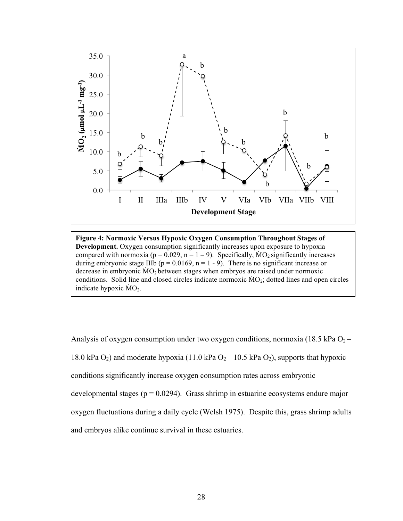

**Figure 4: Normoxic Versus Hypoxic Oxygen Consumption Throughout Stages of Development.** Oxygen consumption significantly increases upon exposure to hypoxia compared with normoxia ( $p = 0.029$ ,  $n = 1 - 9$ ). Specifically,  $\dot{M}O_2$  significantly increases during embryonic stage IIIb ( $p = 0.0169$ ,  $n = 1 - 9$ ). There is no significant increase or decrease in embryonic ṀO2 between stages when embryos are raised under normoxic conditions. Solid line and closed circles indicate normoxic  $MO<sub>2</sub>$ ; dotted lines and open circles indicate hypoxic  $\dot{M}O_2$ .

Analysis of oxygen consumption under two oxygen conditions, normoxia (18.5 kPa  $O<sub>2</sub>$  – 18.0 kPa  $O_2$ ) and moderate hypoxia (11.0 kPa  $O_2$  – 10.5 kPa  $O_2$ ), supports that hypoxic conditions significantly increase oxygen consumption rates across embryonic developmental stages ( $p = 0.0294$ ). Grass shrimp in estuarine ecosystems endure major oxygen fluctuations during a daily cycle (Welsh 1975). Despite this, grass shrimp adults and embryos alike continue survival in these estuaries.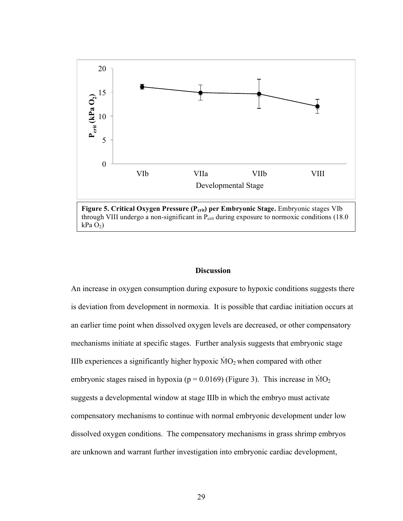

#### **Discussion**

An increase in oxygen consumption during exposure to hypoxic conditions suggests there is deviation from development in normoxia. It is possible that cardiac initiation occurs at an earlier time point when dissolved oxygen levels are decreased, or other compensatory mechanisms initiate at specific stages. Further analysis suggests that embryonic stage IIIb experiences a significantly higher hypoxic  $MO_2$  when compared with other embryonic stages raised in hypoxia ( $p = 0.0169$ ) (Figure 3). This increase in  $\dot{M}O_2$ suggests a developmental window at stage IIIb in which the embryo must activate compensatory mechanisms to continue with normal embryonic development under low dissolved oxygen conditions. The compensatory mechanisms in grass shrimp embryos are unknown and warrant further investigation into embryonic cardiac development,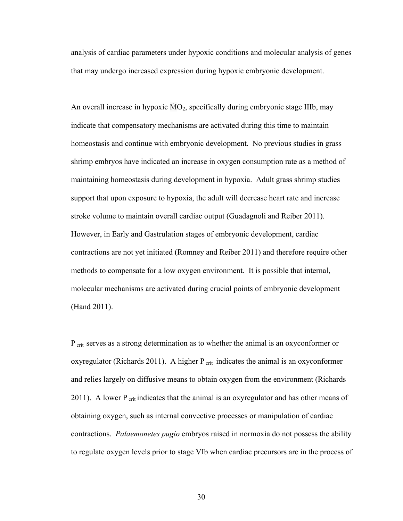analysis of cardiac parameters under hypoxic conditions and molecular analysis of genes that may undergo increased expression during hypoxic embryonic development.

An overall increase in hypoxic  $\dot{M}O_2$ , specifically during embryonic stage IIIb, may indicate that compensatory mechanisms are activated during this time to maintain homeostasis and continue with embryonic development. No previous studies in grass shrimp embryos have indicated an increase in oxygen consumption rate as a method of maintaining homeostasis during development in hypoxia. Adult grass shrimp studies support that upon exposure to hypoxia, the adult will decrease heart rate and increase stroke volume to maintain overall cardiac output (Guadagnoli and Reiber 2011). However, in Early and Gastrulation stages of embryonic development, cardiac contractions are not yet initiated (Romney and Reiber 2011) and therefore require other methods to compensate for a low oxygen environment. It is possible that internal, molecular mechanisms are activated during crucial points of embryonic development (Hand 2011).

P<sub>crit</sub> serves as a strong determination as to whether the animal is an oxyconformer or oxyregulator (Richards 2011). A higher  $P_{\text{crit}}$  indicates the animal is an oxyconformer and relies largely on diffusive means to obtain oxygen from the environment (Richards 2011). A lower  $P_{\text{crit}}$  indicates that the animal is an oxyregulator and has other means of obtaining oxygen, such as internal convective processes or manipulation of cardiac contractions. *Palaemonetes pugio* embryos raised in normoxia do not possess the ability to regulate oxygen levels prior to stage VIb when cardiac precursors are in the process of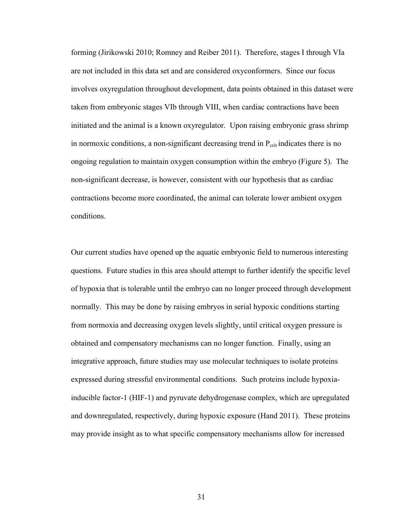forming (Jirikowski 2010; Romney and Reiber 2011). Therefore, stages I through VIa are not included in this data set and are considered oxyconformers. Since our focus involves oxyregulation throughout development, data points obtained in this dataset were taken from embryonic stages VIb through VIII, when cardiac contractions have been initiated and the animal is a known oxyregulator. Upon raising embryonic grass shrimp in normoxic conditions, a non-significant decreasing trend in  $P_{\text{crit}}$  indicates there is no ongoing regulation to maintain oxygen consumption within the embryo (Figure 5). The non-significant decrease, is however, consistent with our hypothesis that as cardiac contractions become more coordinated, the animal can tolerate lower ambient oxygen conditions.

Our current studies have opened up the aquatic embryonic field to numerous interesting questions. Future studies in this area should attempt to further identify the specific level of hypoxia that is tolerable until the embryo can no longer proceed through development normally. This may be done by raising embryos in serial hypoxic conditions starting from normoxia and decreasing oxygen levels slightly, until critical oxygen pressure is obtained and compensatory mechanisms can no longer function. Finally, using an integrative approach, future studies may use molecular techniques to isolate proteins expressed during stressful environmental conditions. Such proteins include hypoxiainducible factor-1 (HIF-1) and pyruvate dehydrogenase complex, which are upregulated and downregulated, respectively, during hypoxic exposure (Hand 2011). These proteins may provide insight as to what specific compensatory mechanisms allow for increased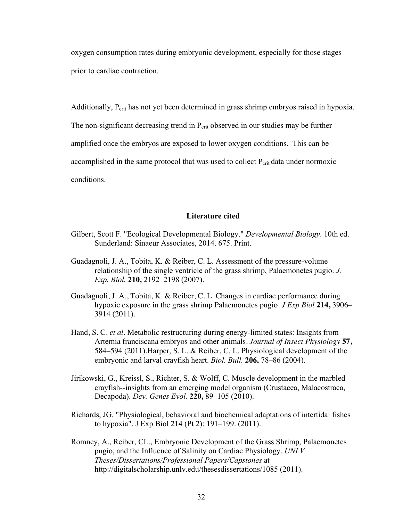oxygen consumption rates during embryonic development, especially for those stages prior to cardiac contraction.

Additionally, P<sub>crit</sub> has not yet been determined in grass shrimp embryos raised in hypoxia.

The non-significant decreasing trend in  $P_{\text{crit}}$  observed in our studies may be further

amplified once the embryos are exposed to lower oxygen conditions. This can be

accomplished in the same protocol that was used to collect  $P_{\text{crit}}$  data under normoxic

conditions.

#### **Literature cited**

- Gilbert, Scott F. "Ecological Developmental Biology." *Developmental Biology*. 10th ed. Sunderland: Sinaeur Associates, 2014. 675. Print.
- Guadagnoli, J. A., Tobita, K. & Reiber, C. L. Assessment of the pressure-volume relationship of the single ventricle of the grass shrimp, Palaemonetes pugio. *J. Exp. Biol.* **210,** 2192–2198 (2007).
- Guadagnoli, J. A., Tobita, K. & Reiber, C. L. Changes in cardiac performance during hypoxic exposure in the grass shrimp Palaemonetes pugio. *J Exp Biol* **214,** 3906– 3914 (2011).
- Hand, S. C. *et al.* Metabolic restructuring during energy-limited states: Insights from Artemia franciscana embryos and other animals. *Journal of Insect Physiology* **57,** 584–594 (2011).Harper, S. L. & Reiber, C. L. Physiological development of the embryonic and larval crayfish heart. *Biol. Bull.* **206,** 78–86 (2004).
- Jirikowski, G., Kreissl, S., Richter, S. & Wolff, C. Muscle development in the marbled crayfish--insights from an emerging model organism (Crustacea, Malacostraca, Decapoda). *Dev. Genes Evol.* **220,** 89–105 (2010).
- Richards, JG. "Physiological, behavioral and biochemical adaptations of intertidal fishes to hypoxia". J Exp Biol 214 (Pt 2): 191–199. (2011).
- Romney, A., Reiber, CL., Embryonic Development of the Grass Shrimp, Palaemonetes pugio, and the Influence of Salinity on Cardiac Physiology. *UNLV Theses/Dissertations/Professional Papers/Capstones* at http://digitalscholarship.unlv.edu/thesesdissertations/1085 (2011).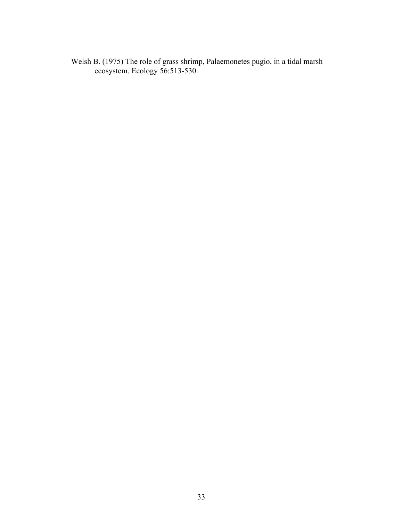Welsh B. (1975) The role of grass shrimp, Palaemonetes pugio, in a tidal marsh ecosystem. Ecology 56:513-530.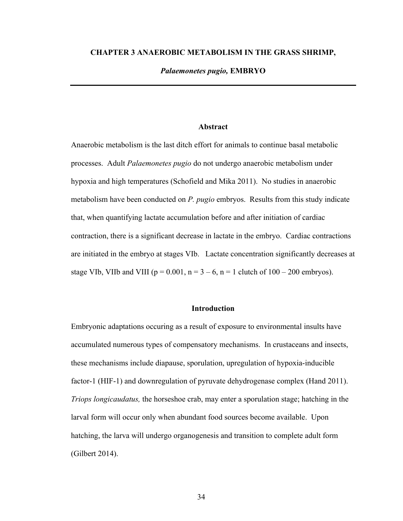#### **CHAPTER 3 ANAEROBIC METABOLISM IN THE GRASS SHRIMP,**

#### *Palaemonetes pugio,* **EMBRYO**

#### **Abstract**

Anaerobic metabolism is the last ditch effort for animals to continue basal metabolic processes. Adult *Palaemonetes pugio* do not undergo anaerobic metabolism under hypoxia and high temperatures (Schofield and Mika 2011). No studies in anaerobic metabolism have been conducted on *P. pugio* embryos. Results from this study indicate that, when quantifying lactate accumulation before and after initiation of cardiac contraction, there is a significant decrease in lactate in the embryo. Cardiac contractions are initiated in the embryo at stages VIb. Lactate concentration significantly decreases at stage VIb, VIIb and VIII ( $p = 0.001$ ,  $n = 3 - 6$ ,  $n = 1$  clutch of  $100 - 200$  embryos).

#### **Introduction**

Embryonic adaptations occuring as a result of exposure to environmental insults have accumulated numerous types of compensatory mechanisms. In crustaceans and insects, these mechanisms include diapause, sporulation, upregulation of hypoxia-inducible factor-1 (HIF-1) and downregulation of pyruvate dehydrogenase complex (Hand 2011). *Triops longicaudatus,* the horseshoe crab, may enter a sporulation stage; hatching in the larval form will occur only when abundant food sources become available. Upon hatching, the larva will undergo organogenesis and transition to complete adult form (Gilbert 2014).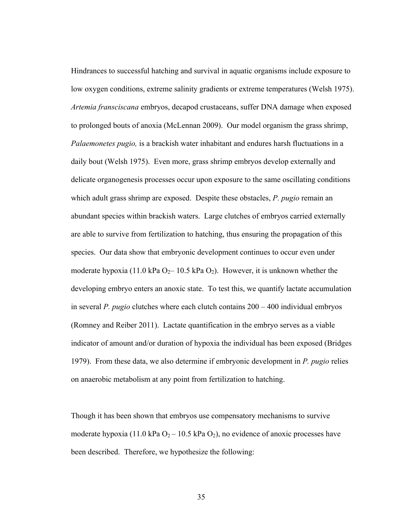Hindrances to successful hatching and survival in aquatic organisms include exposure to low oxygen conditions, extreme salinity gradients or extreme temperatures (Welsh 1975). *Artemia fransciscana* embryos, decapod crustaceans, suffer DNA damage when exposed to prolonged bouts of anoxia (McLennan 2009). Our model organism the grass shrimp, *Palaemonetes pugio,* is a brackish water inhabitant and endures harsh fluctuations in a daily bout (Welsh 1975). Even more, grass shrimp embryos develop externally and delicate organogenesis processes occur upon exposure to the same oscillating conditions which adult grass shrimp are exposed. Despite these obstacles, *P. pugio* remain an abundant species within brackish waters. Large clutches of embryos carried externally are able to survive from fertilization to hatching, thus ensuring the propagation of this species. Our data show that embryonic development continues to occur even under moderate hypoxia (11.0 kPa  $O_2$ –10.5 kPa  $O_2$ ). However, it is unknown whether the developing embryo enters an anoxic state. To test this, we quantify lactate accumulation in several *P. pugio* clutches where each clutch contains 200 – 400 individual embryos (Romney and Reiber 2011). Lactate quantification in the embryo serves as a viable indicator of amount and/or duration of hypoxia the individual has been exposed (Bridges 1979). From these data, we also determine if embryonic development in *P. pugio* relies on anaerobic metabolism at any point from fertilization to hatching.

Though it has been shown that embryos use compensatory mechanisms to survive moderate hypoxia (11.0 kPa  $O_2$  – 10.5 kPa  $O_2$ ), no evidence of anoxic processes have been described. Therefore, we hypothesize the following: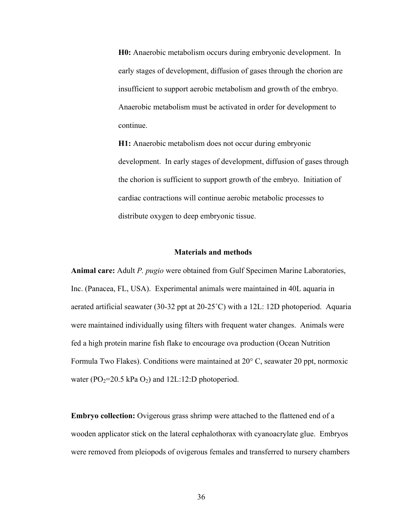**H0:** Anaerobic metabolism occurs during embryonic development. In early stages of development, diffusion of gases through the chorion are insufficient to support aerobic metabolism and growth of the embryo. Anaerobic metabolism must be activated in order for development to continue.

**H1:** Anaerobic metabolism does not occur during embryonic development. In early stages of development, diffusion of gases through the chorion is sufficient to support growth of the embryo. Initiation of cardiac contractions will continue aerobic metabolic processes to distribute oxygen to deep embryonic tissue.

#### **Materials and methods**

**Animal care:** Adult *P. pugio* were obtained from Gulf Specimen Marine Laboratories, Inc. (Panacea, FL, USA). Experimental animals were maintained in 40L aquaria in aerated artificial seawater (30-32 ppt at 20-25˚C) with a 12L: 12D photoperiod. Aquaria were maintained individually using filters with frequent water changes. Animals were fed a high protein marine fish flake to encourage ova production (Ocean Nutrition Formula Two Flakes). Conditions were maintained at 20° C, seawater 20 ppt, normoxic water (PO $_2$ =20.5 kPa O<sub>2</sub>) and 12L:12:D photoperiod.

**Embryo collection:** Ovigerous grass shrimp were attached to the flattened end of a wooden applicator stick on the lateral cephalothorax with cyanoacrylate glue. Embryos were removed from pleiopods of ovigerous females and transferred to nursery chambers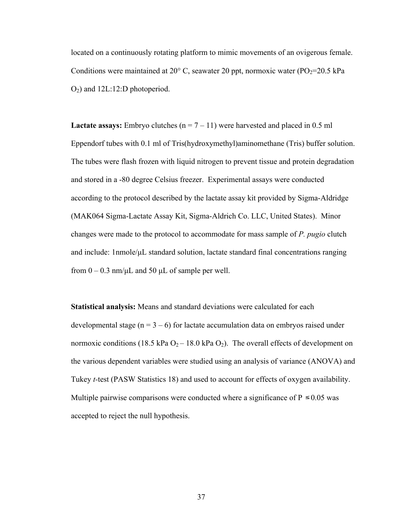located on a continuously rotating platform to mimic movements of an ovigerous female. Conditions were maintained at 20 $\degree$  C, seawater 20 ppt, normoxic water (PO<sub>2</sub>=20.5 kPa O2) and 12L:12:D photoperiod.

**Lactate assays:** Embryo clutches  $(n = 7 - 11)$  were harvested and placed in 0.5 ml Eppendorf tubes with 0.1 ml of Tris(hydroxymethyl)aminomethane (Tris) buffer solution. The tubes were flash frozen with liquid nitrogen to prevent tissue and protein degradation and stored in a -80 degree Celsius freezer. Experimental assays were conducted according to the protocol described by the lactate assay kit provided by Sigma-Aldridge (MAK064 Sigma-Lactate Assay Kit, Sigma-Aldrich Co. LLC, United States). Minor changes were made to the protocol to accommodate for mass sample of *P. pugio* clutch and include:  $1$ nmole/ $\mu$ L standard solution, lactate standard final concentrations ranging from  $0 - 0.3$  nm/ $\mu$ L and 50  $\mu$ L of sample per well.

**Statistical analysis:** Means and standard deviations were calculated for each developmental stage ( $n = 3 - 6$ ) for lactate accumulation data on embryos raised under normoxic conditions (18.5 kPa  $O_2$  – 18.0 kPa  $O_2$ ). The overall effects of development on the various dependent variables were studied using an analysis of variance (ANOVA) and Tukey *t-*test (PASW Statistics 18) and used to account for effects of oxygen availability. Multiple pairwise comparisons were conducted where a significance of  $P \le 0.05$  was accepted to reject the null hypothesis.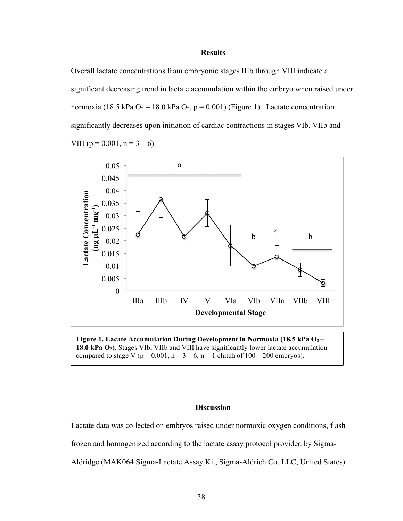#### **Results**

Overall lactate concentrations from embryonic stages IIIb through VIII indicate a significant decreasing trend in lactate accumulation within the embryo when raised under normoxia (18.5 kPa  $O_2$  – 18.0 kPa  $O_2$ , p = 0.001) (Figure 1). Lactate concentration significantly decreases upon initiation of cardiac contractions in stages VIb, VIIb and VIII ( $p = 0.001$ ,  $n = 3 - 6$ ).



**Figure 1. Lacate Accumulation During Development in Normoxia (18.5 kPa O<sub>2</sub> – 18.0 kPa O<sub>2</sub>).** Stages VIb, VIIb and VIII have significantly lower lactate accumulation compared to stage V ( $p = 0.001$ ,  $n = 3 - 6$ ,  $n = 1$  clutch of  $100 - 200$  embryos).

#### **Discussion**

Lactate data was collected on embryos raised under normoxic oxygen conditions, flash

frozen and homogenized according to the lactate assay protocol provided by Sigma-

Aldridge (MAK064 Sigma-Lactate Assay Kit, Sigma-Aldrich Co. LLC, United States).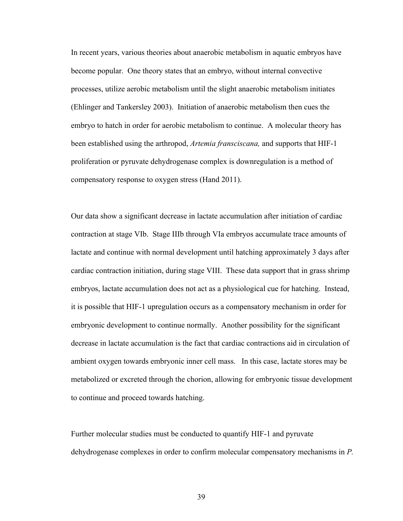In recent years, various theories about anaerobic metabolism in aquatic embryos have become popular. One theory states that an embryo, without internal convective processes, utilize aerobic metabolism until the slight anaerobic metabolism initiates (Ehlinger and Tankersley 2003). Initiation of anaerobic metabolism then cues the embryo to hatch in order for aerobic metabolism to continue. A molecular theory has been established using the arthropod, *Artemia fransciscana,* and supports that HIF-1 proliferation or pyruvate dehydrogenase complex is downregulation is a method of compensatory response to oxygen stress (Hand 2011).

Our data show a significant decrease in lactate accumulation after initiation of cardiac contraction at stage VIb. Stage IIIb through VIa embryos accumulate trace amounts of lactate and continue with normal development until hatching approximately 3 days after cardiac contraction initiation, during stage VIII. These data support that in grass shrimp embryos, lactate accumulation does not act as a physiological cue for hatching. Instead, it is possible that HIF-1 upregulation occurs as a compensatory mechanism in order for embryonic development to continue normally. Another possibility for the significant decrease in lactate accumulation is the fact that cardiac contractions aid in circulation of ambient oxygen towards embryonic inner cell mass. In this case, lactate stores may be metabolized or excreted through the chorion, allowing for embryonic tissue development to continue and proceed towards hatching.

Further molecular studies must be conducted to quantify HIF-1 and pyruvate dehydrogenase complexes in order to confirm molecular compensatory mechanisms in *P.*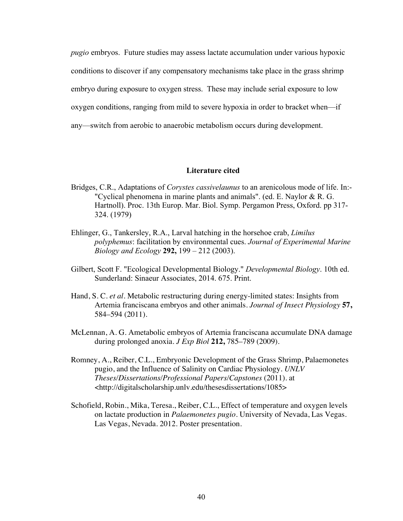*pugio* embryos. Future studies may assess lactate accumulation under various hypoxic conditions to discover if any compensatory mechanisms take place in the grass shrimp embryo during exposure to oxygen stress. These may include serial exposure to low oxygen conditions, ranging from mild to severe hypoxia in order to bracket when—if any—switch from aerobic to anaerobic metabolism occurs during development.

#### **Literature cited**

- Bridges, C.R., Adaptations of *Corystes cassivelaunus* to an arenicolous mode of life. In:- "Cyclical phenomena in marine plants and animals". (ed. E. Naylor & R. G. Hartnoll). Proc. 13th Europ. Mar. Biol. Symp. Pergamon Press, Oxford. pp 317- 324. (1979)
- Ehlinger, G., Tankersley, R.A., Larval hatching in the horsehoe crab, *Limilus polyphemus*: facilitation by environmental cues. *Journal of Experimental Marine Biology and Ecology* **292,** 199 – 212 (2003).
- Gilbert, Scott F. "Ecological Developmental Biology." *Developmental Biology*. 10th ed. Sunderland: Sinaeur Associates, 2014. 675. Print.
- Hand, S. C. *et al.* Metabolic restructuring during energy-limited states: Insights from Artemia franciscana embryos and other animals. *Journal of Insect Physiology* **57,** 584–594 (2011).
- McLennan, A. G. Ametabolic embryos of Artemia franciscana accumulate DNA damage during prolonged anoxia. *J Exp Biol* **212,** 785–789 (2009).
- Romney, A., Reiber, C.L., Embryonic Development of the Grass Shrimp, Palaemonetes pugio, and the Influence of Salinity on Cardiac Physiology. *UNLV Theses/Dissertations/Professional Papers/Capstones* (2011). at <http://digitalscholarship.unlv.edu/thesesdissertations/1085>
- Schofield, Robin., Mika, Teresa., Reiber, C.L., Effect of temperature and oxygen levels on lactate production in *Palaemonetes pugio*. University of Nevada, Las Vegas. Las Vegas, Nevada. 2012. Poster presentation.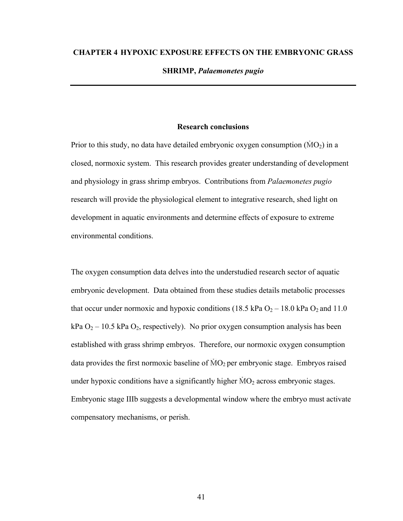#### **CHAPTER 4 HYPOXIC EXPOSURE EFFECTS ON THE EMBRYONIC GRASS**

#### **SHRIMP,** *Palaemonetes pugio*

#### **Research conclusions**

Prior to this study, no data have detailed embryonic oxygen consumption  $(\dot{M}O_2)$  in a closed, normoxic system. This research provides greater understanding of development and physiology in grass shrimp embryos. Contributions from *Palaemonetes pugio* research will provide the physiological element to integrative research, shed light on development in aquatic environments and determine effects of exposure to extreme environmental conditions.

The oxygen consumption data delves into the understudied research sector of aquatic embryonic development. Data obtained from these studies details metabolic processes that occur under normoxic and hypoxic conditions (18.5 kPa  $O_2 - 18.0$  kPa  $O_2$  and 11.0 kPa  $O_2$  – 10.5 kPa  $O_2$ , respectively). No prior oxygen consumption analysis has been established with grass shrimp embryos. Therefore, our normoxic oxygen consumption data provides the first normoxic baseline of  $MO<sub>2</sub>$  per embryonic stage. Embryos raised under hypoxic conditions have a significantly higher  $MO<sub>2</sub>$  across embryonic stages. Embryonic stage IIIb suggests a developmental window where the embryo must activate compensatory mechanisms, or perish.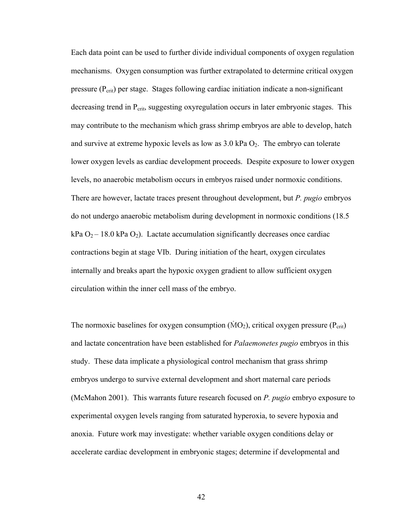Each data point can be used to further divide individual components of oxygen regulation mechanisms. Oxygen consumption was further extrapolated to determine critical oxygen pressure  $(P_{\text{crit}})$  per stage. Stages following cardiac initiation indicate a non-significant decreasing trend in  $P_{\text{crit}}$ , suggesting oxyregulation occurs in later embryonic stages. This may contribute to the mechanism which grass shrimp embryos are able to develop, hatch and survive at extreme hypoxic levels as low as  $3.0 \text{ kPa O}_2$ . The embryo can tolerate lower oxygen levels as cardiac development proceeds. Despite exposure to lower oxygen levels, no anaerobic metabolism occurs in embryos raised under normoxic conditions. There are however, lactate traces present throughout development, but *P. pugio* embryos do not undergo anaerobic metabolism during development in normoxic conditions (18.5 kPa  $O_2$  – 18.0 kPa  $O_2$ ). Lactate accumulation significantly decreases once cardiac contractions begin at stage VIb. During initiation of the heart, oxygen circulates internally and breaks apart the hypoxic oxygen gradient to allow sufficient oxygen circulation within the inner cell mass of the embryo.

The normoxic baselines for oxygen consumption  $(\dot{M}O_2)$ , critical oxygen pressure  $(P_{\text{crit}})$ and lactate concentration have been established for *Palaemonetes pugio* embryos in this study. These data implicate a physiological control mechanism that grass shrimp embryos undergo to survive external development and short maternal care periods (McMahon 2001). This warrants future research focused on *P. pugio* embryo exposure to experimental oxygen levels ranging from saturated hyperoxia, to severe hypoxia and anoxia. Future work may investigate: whether variable oxygen conditions delay or accelerate cardiac development in embryonic stages; determine if developmental and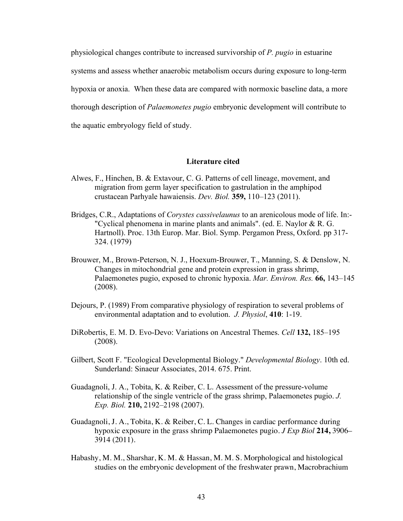physiological changes contribute to increased survivorship of *P. pugio* in estuarine systems and assess whether anaerobic metabolism occurs during exposure to long-term hypoxia or anoxia. When these data are compared with normoxic baseline data, a more thorough description of *Palaemonetes pugio* embryonic development will contribute to the aquatic embryology field of study.

#### **Literature cited**

- Alwes, F., Hinchen, B. & Extavour, C. G. Patterns of cell lineage, movement, and migration from germ layer specification to gastrulation in the amphipod crustacean Parhyale hawaiensis. *Dev. Biol.* **359,** 110–123 (2011).
- Bridges, C.R., Adaptations of *Corystes cassivelaunus* to an arenicolous mode of life. In:- "Cyclical phenomena in marine plants and animals". (ed. E. Naylor & R. G. Hartnoll). Proc. 13th Europ. Mar. Biol. Symp. Pergamon Press, Oxford. pp 317- 324. (1979)
- Brouwer, M., Brown-Peterson, N. J., Hoexum-Brouwer, T., Manning, S. & Denslow, N. Changes in mitochondrial gene and protein expression in grass shrimp, Palaemonetes pugio, exposed to chronic hypoxia. *Mar. Environ. Res.* **66,** 143–145 (2008).
- Dejours, P. (1989) From comparative physiology of respiration to several problems of environmental adaptation and to evolution. *J. Physiol*, **410**: 1-19.
- DiRobertis, E. M. D. Evo-Devo: Variations on Ancestral Themes. *Cell* **132,** 185–195 (2008).
- Gilbert, Scott F. "Ecological Developmental Biology." *Developmental Biology*. 10th ed. Sunderland: Sinaeur Associates, 2014. 675. Print.
- Guadagnoli, J. A., Tobita, K. & Reiber, C. L. Assessment of the pressure-volume relationship of the single ventricle of the grass shrimp, Palaemonetes pugio. *J. Exp. Biol.* **210,** 2192–2198 (2007).
- Guadagnoli, J. A., Tobita, K. & Reiber, C. L. Changes in cardiac performance during hypoxic exposure in the grass shrimp Palaemonetes pugio. *J Exp Biol* **214,** 3906– 3914 (2011).
- Habashy, M. M., Sharshar, K. M. & Hassan, M. M. S. Morphological and histological studies on the embryonic development of the freshwater prawn, Macrobrachium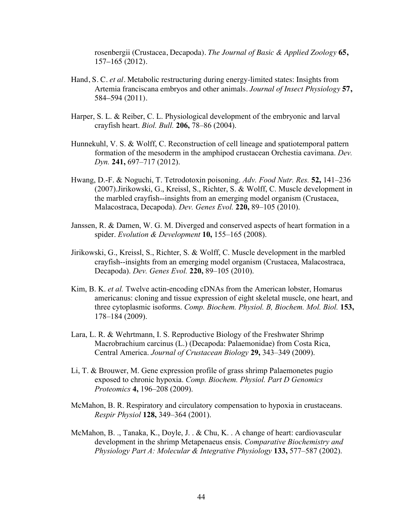rosenbergii (Crustacea, Decapoda). *The Journal of Basic & Applied Zoology* **65,** 157–165 (2012).

- Hand, S. C. *et al.* Metabolic restructuring during energy-limited states: Insights from Artemia franciscana embryos and other animals. *Journal of Insect Physiology* **57,** 584–594 (2011).
- Harper, S. L. & Reiber, C. L. Physiological development of the embryonic and larval crayfish heart. *Biol. Bull.* **206,** 78–86 (2004).
- Hunnekuhl, V. S. & Wolff, C. Reconstruction of cell lineage and spatiotemporal pattern formation of the mesoderm in the amphipod crustacean Orchestia cavimana. *Dev. Dyn.* **241,** 697–717 (2012).
- Hwang, D.-F. & Noguchi, T. Tetrodotoxin poisoning. *Adv. Food Nutr. Res.* **52,** 141–236 (2007).Jirikowski, G., Kreissl, S., Richter, S. & Wolff, C. Muscle development in the marbled crayfish--insights from an emerging model organism (Crustacea, Malacostraca, Decapoda). *Dev. Genes Evol.* **220,** 89–105 (2010).
- Janssen, R. & Damen, W. G. M. Diverged and conserved aspects of heart formation in a spider. *Evolution & Development* **10,** 155–165 (2008).
- Jirikowski, G., Kreissl, S., Richter, S. & Wolff, C. Muscle development in the marbled crayfish--insights from an emerging model organism (Crustacea, Malacostraca, Decapoda). *Dev. Genes Evol.* **220,** 89–105 (2010).
- Kim, B. K. *et al.* Twelve actin-encoding cDNAs from the American lobster, Homarus americanus: cloning and tissue expression of eight skeletal muscle, one heart, and three cytoplasmic isoforms. *Comp. Biochem. Physiol. B, Biochem. Mol. Biol.* **153,** 178–184 (2009).
- Lara, L. R. & Wehrtmann, I. S. Reproductive Biology of the Freshwater Shrimp Macrobrachium carcinus (L.) (Decapoda: Palaemonidae) from Costa Rica, Central America. *Journal of Crustacean Biology* **29,** 343–349 (2009).
- Li, T. & Brouwer, M. Gene expression profile of grass shrimp Palaemonetes pugio exposed to chronic hypoxia. *Comp. Biochem. Physiol. Part D Genomics Proteomics* **4,** 196–208 (2009).
- McMahon, B. R. Respiratory and circulatory compensation to hypoxia in crustaceans. *Respir Physiol* **128,** 349–364 (2001).
- McMahon, B. ., Tanaka, K., Doyle, J. . & Chu, K. . A change of heart: cardiovascular development in the shrimp Metapenaeus ensis. *Comparative Biochemistry and Physiology Part A: Molecular & Integrative Physiology* **133,** 577–587 (2002).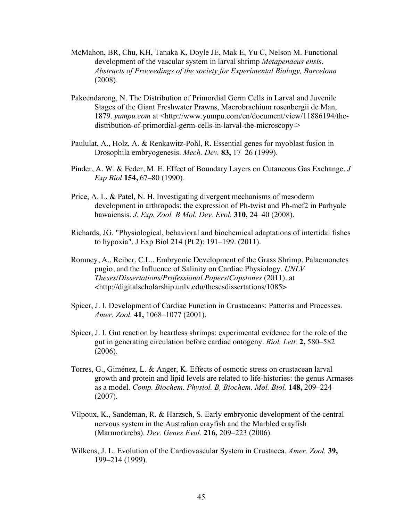- McMahon, BR, Chu, KH, Tanaka K, Doyle JE, Mak E, Yu C, Nelson M. Functional development of the vascular system in larval shrimp *Metapenaeus ensis*. *Abstracts of Proceedings of the society for Experimental Biology, Barcelona*  (2008).
- Pakeendarong, N. The Distribution of Primordial Germ Cells in Larval and Juvenile Stages of the Giant Freshwater Prawns, Macrobrachium rosenbergii de Man, 1879. *yumpu.com* at <http://www.yumpu.com/en/document/view/11886194/thedistribution-of-primordial-germ-cells-in-larval-the-microscopy->
- Paululat, A., Holz, A. & Renkawitz-Pohl, R. Essential genes for myoblast fusion in Drosophila embryogenesis. *Mech. Dev.* **83,** 17–26 (1999).
- Pinder, A. W. & Feder, M. E. Effect of Boundary Layers on Cutaneous Gas Exchange. *J Exp Biol* **154,** 67–80 (1990).
- Price, A. L. & Patel, N. H. Investigating divergent mechanisms of mesoderm development in arthropods: the expression of Ph-twist and Ph-mef2 in Parhyale hawaiensis. *J. Exp. Zool. B Mol. Dev. Evol.* **310,** 24–40 (2008).
- Richards, JG. "Physiological, behavioral and biochemical adaptations of intertidal fishes to hypoxia". J Exp Biol 214 (Pt 2): 191–199. (2011).
- Romney, A., Reiber, C.L., Embryonic Development of the Grass Shrimp, Palaemonetes pugio, and the Influence of Salinity on Cardiac Physiology. *UNLV Theses/Dissertations/Professional Papers/Capstones* (2011). at <http://digitalscholarship.unlv.edu/thesesdissertations/1085>
- Spicer, J. I. Development of Cardiac Function in Crustaceans: Patterns and Processes. *Amer. Zool.* **41,** 1068–1077 (2001).
- Spicer, J. I. Gut reaction by heartless shrimps: experimental evidence for the role of the gut in generating circulation before cardiac ontogeny. *Biol. Lett.* **2,** 580–582 (2006).
- Torres, G., Giménez, L. & Anger, K. Effects of osmotic stress on crustacean larval growth and protein and lipid levels are related to life-histories: the genus Armases as a model. *Comp. Biochem. Physiol. B, Biochem. Mol. Biol.* **148,** 209–224 (2007).
- Vilpoux, K., Sandeman, R. & Harzsch, S. Early embryonic development of the central nervous system in the Australian crayfish and the Marbled crayfish (Marmorkrebs). *Dev. Genes Evol.* **216,** 209–223 (2006).
- Wilkens, J. L. Evolution of the Cardiovascular System in Crustacea. *Amer. Zool.* **39,** 199–214 (1999).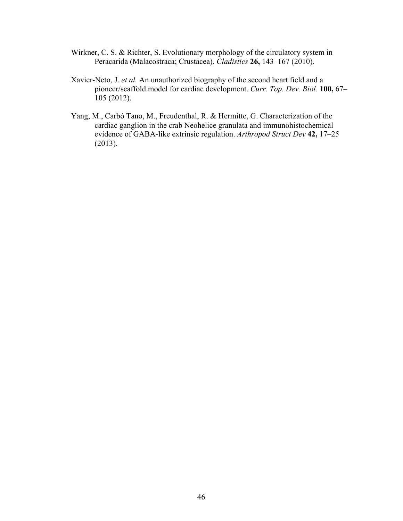- Wirkner, C. S. & Richter, S. Evolutionary morphology of the circulatory system in Peracarida (Malacostraca; Crustacea). *Cladistics* **26,** 143–167 (2010).
- Xavier-Neto, J. *et al.* An unauthorized biography of the second heart field and a pioneer/scaffold model for cardiac development. *Curr. Top. Dev. Biol.* **100,** 67– 105 (2012).
- Yang, M., Carbó Tano, M., Freudenthal, R. & Hermitte, G. Characterization of the cardiac ganglion in the crab Neohelice granulata and immunohistochemical evidence of GABA-like extrinsic regulation. *Arthropod Struct Dev* **42,** 17–25 (2013).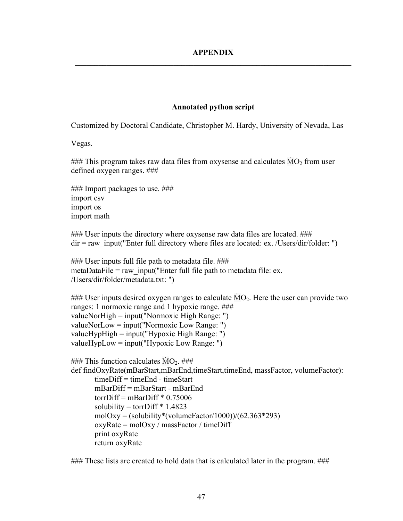#### **APPENDIX \_\_\_\_\_\_\_\_\_\_\_\_\_\_\_\_\_\_\_\_\_\_\_\_\_\_\_\_\_\_\_\_\_\_\_\_\_\_\_\_\_\_\_\_\_\_\_\_\_\_\_\_\_\_\_\_\_\_\_\_\_\_\_\_\_\_\_\_\_\_**

#### **Annotated python script**

Customized by Doctoral Candidate, Christopher M. Hardy, University of Nevada, Las

Vegas.

 $\# \# \#$  This program takes raw data files from oxysense and calculates  $MO_2$  from user defined oxygen ranges. ###

### Import packages to use. ### import csv import os import math

### User inputs the directory where oxysense raw data files are located. ###  $\text{dir} = \text{raw input}$  input "Enter full directory where files are located: ex. /Users/dir/folder: ")

### User inputs full file path to metadata file. ### metaDataFile = raw input("Enter full file path to metadata file: ex. /Users/dir/folder/metadata.txt: ")

```
\# \# \# User inputs desired oxygen ranges to calculate MO<sub>2</sub>. Here the user can provide two
ranges: 1 normoxic range and 1 hypoxic range. ###
valueNorHigh = input("Normoxic High Range: ")
valueNorLow = input("Normoxic Low Range: ")
valueHypHigh = input("Hypoxic High Range: ")
valueHypLow = input("Hypoxic Low Range:")
```

```
### This function calculates MO_2. ###
def findOxyRate(mBarStart,mBarEnd,timeStart,timeEnd, massFactor, volumeFactor):
       timeDiff = timeEnd - timeStart
      mBarDiff = mBarStart - mBarEnd
       torrDiff = mBarDiff * 0.75006solubility = torrDiff * 1.4823
      molOxy = (solubility*(volumeFactor/1000))/(62.363*293)
       oxyRate = molOxy / massFactor / timeDiffprint oxyRate
      return oxyRate
```
### These lists are created to hold data that is calculated later in the program. ###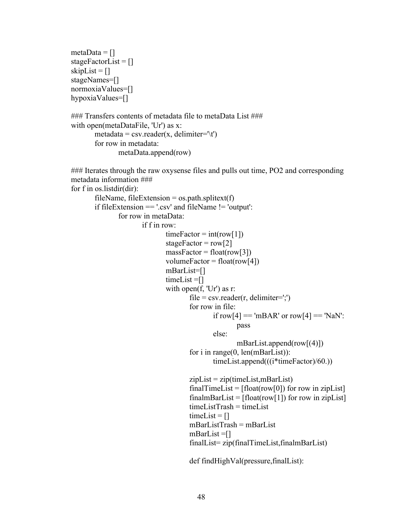```
metaData = \lceil \rceilstageFactorList = \BoxskipList = []stageNames=[]
normoxiaValues=[]
hypoxiaValues=[]
### Transfers contents of metadata file to metaData List ###
with open(metaDataFile, 'Ur') as x:
       metadata = \text{csv.reader}(x, \text{delimiter} = \text{'t'})for row in metadata:
               metaData.append(row)
### Iterates through the raw oxysense files and pulls out time, PO2 and corresponding
metadata information ###
for f in os.listdir(dir):
       fileName, fileExtension = os.path.splitext(f)
       if fileExtension == '.csv' and fileName != 'output':
               for row in metaData:
                      if f in row:
                              timeFactor = int(row[1])stageFactor = row[2]massFactor = float(row[3])volumeFactor = float(row[4])
                              mBarList=[]
                              timeList =[]
                              with open(f, 'Ur') as r:
                                      file = \text{csv.reader}(r, delimiter=';')for row in file:
                                             if row[4] = 'mBAR' or row[4] = 'NaN':
                                                     pass
                                             else:
                                                     mBarList.append(row[(4)])
                                      for i in range(0, len(mBarList)):
                                             timeList.append(((i*timeFactor)/60.))
                                      zipList = zip(timeList, mBarList)finalTimeList = [float(row[0]) for row in zipList]
                                      finalmBarList = [float(row[1]) for row in zipList]
                                      timeListTrash = timeList
                                      timeList = []
                                      mBarListTrash = mBarList
                                      mBarList = []finalList= zip(finalTimeList,finalmBarList)
```

```
def findHighVal(pressure,finalList):
```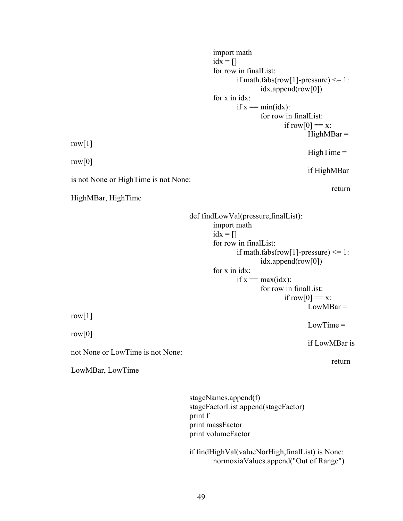```
import math
                                           idx = []for row in finalList:
                                                  if math.fabs(row[1]-pressure) \leq 1:
                                                         idx.append(row[0])
                                           for x in idx:
                                                  if x = min(idx):
                                                         for row in finalList:
                                                                if row[0] == x:
                                                                       HighMBar =row[1]HighTime =row[0]
                                                                       if HighMBar 
is not None or HighTime is not None:
                                                                               return 
HighMBar, HighTime
                                    def findLowVal(pressure,finalList):
                                           import math
                                           idx = []for row in finalList:
                                                  if math.fabs(row[1]-pressure) \leq 1:
                                                         idx.append(row[0])
                                           for x in idx:
                                                  if x = max(idx):
                                                         for row in finalList:
                                                                if row[0] == x:
                                                                       LowMBar =row[1]
                                                                       LowTime =row[0]
                                                                       if LowMBar is 
not None or LowTime is not None:
                                                                               return 
LowMBar, LowTime
                                    stageNames.append(f)
                                    stageFactorList.append(stageFactor)
                                    print f
                                    print massFactor
                                    print volumeFactor
                                    if findHighVal(valueNorHigh,finalList) is None:
```
normoxiaValues.append("Out of Range")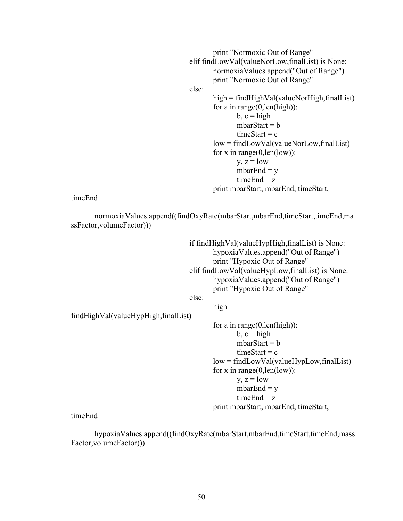```
print "Normoxic Out of Range"
elif findLowVal(valueNorLow,finalList) is None:
       normoxiaValues.append("Out of Range")
      print "Normoxic Out of Range"
else:
      high = findHighVal(valueNorHigh, finalList)for a in range(0, len(high)):
              b, c = highmbarStart = btimeStart = clow = findLowVal(valueNorLow,finalList)
       for x in range(0, len(low)):
              y, z = lowmbarEnd = ytimeEnd = zprint mbarStart, mbarEnd, timeStart,
```
timeEnd

normoxiaValues.append((findOxyRate(mbarStart,mbarEnd,timeStart,timeEnd,ma ssFactor,volumeFactor)))

> if findHighVal(valueHypHigh,finalList) is None: hypoxiaValues.append("Out of Range") print "Hypoxic Out of Range" elif findLowVal(valueHypLow,finalList) is None: hypoxiaValues.append("Out of Range") print "Hypoxic Out of Range"

else:

findHighVal(valueHypHigh,finalList)

 $high =$ 

for a in range $(0, len(high))$ :  $b, c = high$ mbarStart  $= b$ timeStart =  $c$ low = findLowVal(valueHypLow,finalList) for x in range $(0, len(low))$ :  $y, z = low$ mbarEnd =  $y$  $timeEnd = z$ print mbarStart, mbarEnd, timeStart,

#### timeEnd

hypoxiaValues.append((findOxyRate(mbarStart,mbarEnd,timeStart,timeEnd,mass Factor,volumeFactor)))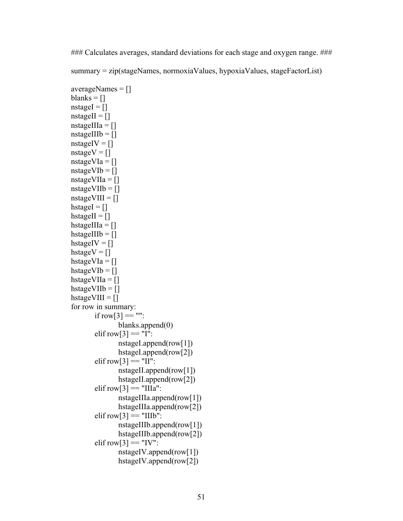### Calculates averages, standard deviations for each stage and oxygen range. ###

summary = zip(stageNames, normoxiaValues, hypoxiaValues, stageFactorList)

```
averageNames = []
blanks = \BoxnstageI = \lceil \cdot \rceilnstageII = []nstageIIIa = []
nstageIIIb = []nstageIV = []
nstageV = []
nstageVIa = []
nstageVIb = []
nstageVIIa = []
nstageVIIb = []
nstageVIII = \lceil \rceilhstageI = \BoxhstageII = \lceil \cdot \rceilhstageIIIa = []
hstageIIIb = []hstageIV = \BoxhstageV = \lceil \rceilhstageVIa = []
hstageVIb = []
hstageVIIa = []
hstageVIIb = []
hstageVIII = \lceil \rceilfor row in summary:
       if row[3] == ":
                blanks.append(0)
       elif row[3] == "I":
                nstageI.append(row[1])
                hstageI.append(row[2])
       elif row[3] == "II":
                nstageII.append(row[1])
                hstageII.append(row[2])
       elif row[3] == "IIa":nstageIIIa.append(row[1])
                hstageIIIa.append(row[2])
       elif row[3] == "IIIb":nstageIIIb.append(row[1])
                hstageIIIb.append(row[2])
        elif row[3] == "IV":nstageIV.append(row[1])
                hstageIV.append(row[2])
```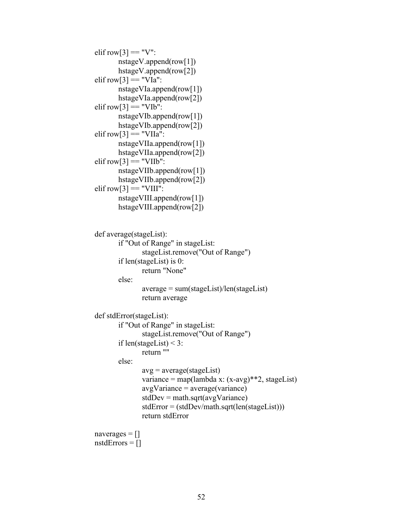```
elif row[3] == "V":
       nstageV.append(row[1])
       hstageV.append(row[2])
elif row[3] == "VIa":nstageVIa.append(row[1])
       hstageVIa.append(row[2])
elif row[3] == "V1b":nstageVIb.append(row[1])
       hstageVIb.append(row[2])
elif row[3] == "VIIa":nstageVIIa.append(row[1])
       hstageVIIa.append(row[2])
elif row[3] == "VIIb":nstageVIIb.append(row[1])
       hstageVIIb.append(row[2])
elif row[3] == "VIII":nstageVIII.append(row[1])
       hstageVIII.append(row[2])
```

```
def average(stageList):
       if "Out of Range" in stageList:
               stageList.remove("Out of Range")
       if len(stageList) is 0:
               return "None"
       else:
               average = sum(stageList)/len(stageList)
               return average
def stdError(stageList):
       if "Out of Range" in stageList:
               stageList.remove("Out of Range")
       if len(stageList) \leq 3:
               return ""
       else:
               avg = average(ttagelist)variance = map(lambda x: (x\text{-avg})<sup>**</sup>2, stageList)
               avgVariance = average(variance)
               stdDev = math.sqrt(avgVariance)stdError = (stdDev/math.sqrt(len(stageList)))
               return stdError
naverages = []nstdErrors = []
```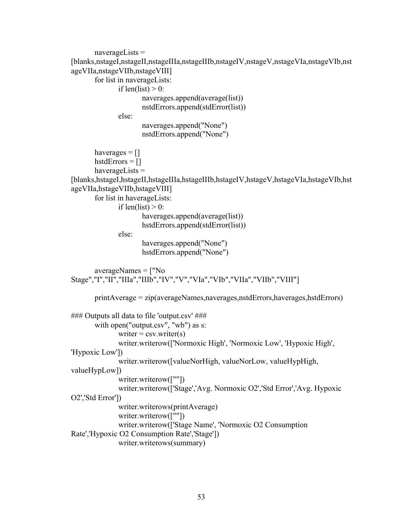```
naverageLists =[blanks,nstageI,nstageII,nstageIIIa,nstageIIIb,nstageIV,nstageV,nstageVIa,nstageVIb,nst
ageVIIa,nstageVIIb,nstageVIII]
       for list in naverageLists:
              if len(list) > 0:
                     naverages.append(average(list))
                      nstdErrors.append(stdError(list))
              else:
                     naverages.append("None")
                     nstdErrors.append("None")
       haverages = []
       hstdErrors = \lceil \rceilhaverageLists =[blanks,hstageI,hstageII,hstageIIIa,hstageIIIb,hstageIV,hstageV,hstageVIa,hstageVIb,hst
ageVIIa,hstageVIIb,hstageVIII]
       for list in haverageLists:
              if len(list) > 0:
                     haverages.append(average(list))
                     hstdErrors.append(stdError(list))
              else:
                      haverages.append("None")
                     hstdErrors.append("None")
       averageNames = ["No 
Stage","I","II","IIIa","IIIb","IV","V","VIa","VIb","VIIa","VIIb","VIII"]
       printAverage = zip(averageNames,naverages,nstdErrors,haverages,hstdErrors)
### Outputs all data to file 'output.csv' ###
       with open("output.csv", "wb") as s:
              writer = csv.writer(s)
              writer.writerow(['Normoxic High', 'Normoxic Low', 'Hypoxic High', 
'Hypoxic Low'])
              writer.writerow([valueNorHigh, valueNorLow, valueHypHigh, 
valueHypLow])
              writer.writerow([""])
              writer.writerow(['Stage','Avg. Normoxic O2','Std Error','Avg. Hypoxic 
O2','Std Error'])
              writer.writerows(printAverage)
              writer.writerow([""])
              writer.writerow(['Stage Name', 'Normoxic O2 Consumption 
Rate','Hypoxic O2 Consumption Rate','Stage'])
```
writer.writerows(summary)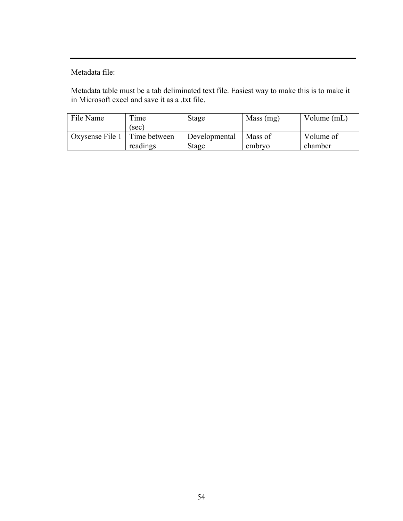Metadata file:

Metadata table must be a tab deliminated text file. Easiest way to make this is to make it in Microsoft excel and save it as a .txt file.

| File Name                      | Time     | Stage         | Mass (mg) | Volume (mL) |
|--------------------------------|----------|---------------|-----------|-------------|
|                                | (sec)    |               |           |             |
| Oxysense File 1   Time between |          | Developmental | Mass of   | Volume of   |
|                                | readings | Stage         | embryo    | chamber     |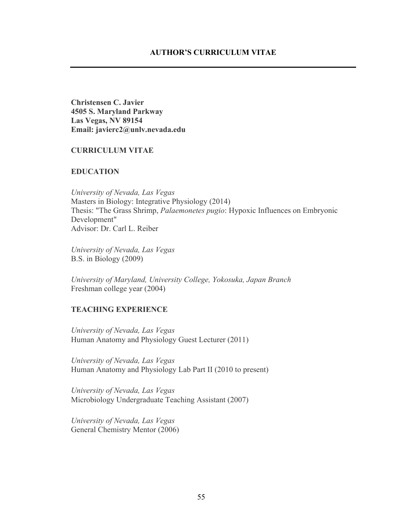## **AUTHOR'S CURRICULUM VITAE**

**Christensen C. Javier 4505 S. Maryland Parkway Las Vegas, NV 89154 Email: javierc2@unlv.nevada.edu**

#### **CURRICULUM VITAE**

#### **EDUCATION**

*University of Nevada, Las Vegas* Masters in Biology: Integrative Physiology (2014) Thesis: "The Grass Shrimp, *Palaemonetes pugio*: Hypoxic Influences on Embryonic Development" Advisor: Dr. Carl L. Reiber

*University of Nevada, Las Vegas* B.S. in Biology (2009)

*University of Maryland, University College, Yokosuka, Japan Branch* Freshman college year (2004)

#### **TEACHING EXPERIENCE**

*University of Nevada, Las Vegas*  Human Anatomy and Physiology Guest Lecturer (2011)

*University of Nevada, Las Vegas* Human Anatomy and Physiology Lab Part II (2010 to present)

*University of Nevada, Las Vegas* Microbiology Undergraduate Teaching Assistant (2007)

*University of Nevada, Las Vegas* General Chemistry Mentor (2006)